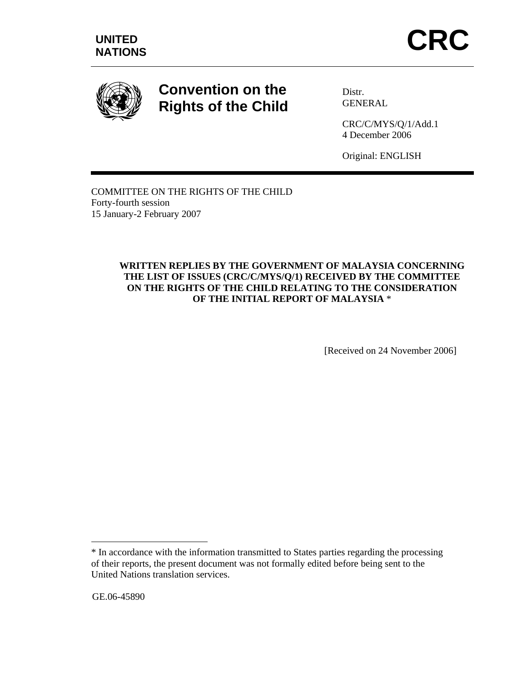

# **Convention on the Rights of the Child**

Distr. GENERAL

CRC/C/MYS/Q/1/Add.1 4 December 2006

Original: ENGLISH

COMMITTEE ON THE RIGHTS OF THE CHILD Forty-fourth session 15 January-2 February 2007

## **WRITTEN REPLIES BY THE GOVERNMENT OF MALAYSIA CONCERNING THE LIST OF ISSUES (CRC/C/MYS/Q/1) RECEIVED BY THE COMMITTEE ON THE RIGHTS OF THE CHILD RELATING TO THE CONSIDERATION OF THE INITIAL REPORT OF MALAYSIA** \*

[Received on 24 November 2006]

GE.06-45890

 $\overline{a}$ 

<sup>\*</sup> In accordance with the information transmitted to States parties regarding the processing of their reports, the present document was not formally edited before being sent to the United Nations translation services.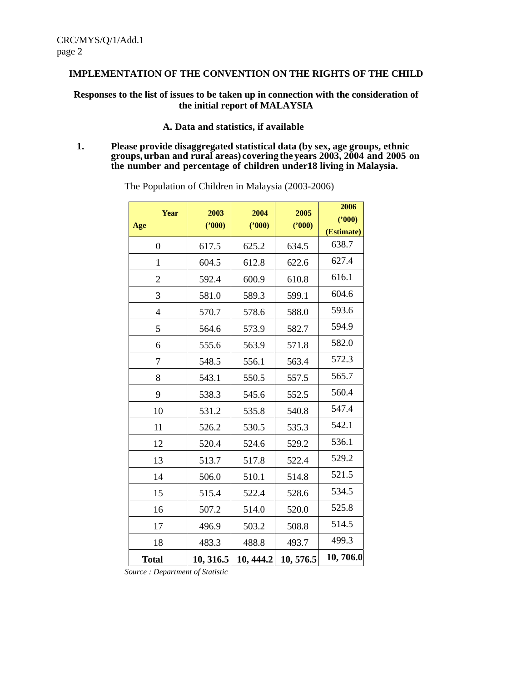#### **IMPLEMENTATION OF THE CONVENTION ON THE RIGHTS OF THE CHILD**

#### **Responses to the list of issues to be taken up in connection with the consideration of the initial report of MALAYSIA**

#### **A. Data and statistics, if available**

#### **1. Please provide disaggregated statistical data (by sex, age groups, ethnic groups,urban and rural areas) covering the years 2003, 2004 and 2005 on the number and percentage of children under18 living in Malaysia.**

| <b>Year</b><br>Age | 2003<br>(2000) | 2004<br>(2000) | 2005<br>(2000) | 2006<br>(2000)<br>(Estimate) |
|--------------------|----------------|----------------|----------------|------------------------------|
| $\boldsymbol{0}$   | 617.5          | 625.2          | 634.5          | 638.7                        |
| $\mathbf{1}$       | 604.5          | 612.8          | 622.6          | 627.4                        |
| $\overline{2}$     | 592.4          | 600.9          | 610.8          | 616.1                        |
| 3                  | 581.0          | 589.3          | 599.1          | 604.6                        |
| $\overline{4}$     | 570.7          | 578.6          | 588.0          | 593.6                        |
| 5                  | 564.6          | 573.9          | 582.7          | 594.9                        |
| 6                  | 555.6          | 563.9          | 571.8          | 582.0                        |
| 7                  | 548.5          | 556.1          | 563.4          | 572.3                        |
| 8                  | 543.1          | 550.5          | 557.5          | 565.7                        |
| 9                  | 538.3          | 545.6          | 552.5          | 560.4                        |
| 10                 | 531.2          | 535.8          | 540.8          | 547.4                        |
| 11                 | 526.2          | 530.5          | 535.3          | 542.1                        |
| 12                 | 520.4          | 524.6          | 529.2          | 536.1                        |
| 13                 | 513.7          | 517.8          | 522.4          | 529.2                        |
| 14                 | 506.0          | 510.1          | 514.8          | 521.5                        |
| 15                 | 515.4          | 522.4          | 528.6          | 534.5                        |
| 16                 | 507.2          | 514.0          | 520.0          | 525.8                        |
| 17                 | 496.9          | 503.2          | 508.8          | 514.5                        |
| 18                 | 483.3          | 488.8          | 493.7          | 499.3                        |
| <b>Total</b>       | 10, 316.5      | 10, 444.2      | 10, 576.5      | 10,706.0                     |

The Population of Children in Malaysia (2003-2006)

*Source : Department of Statistic*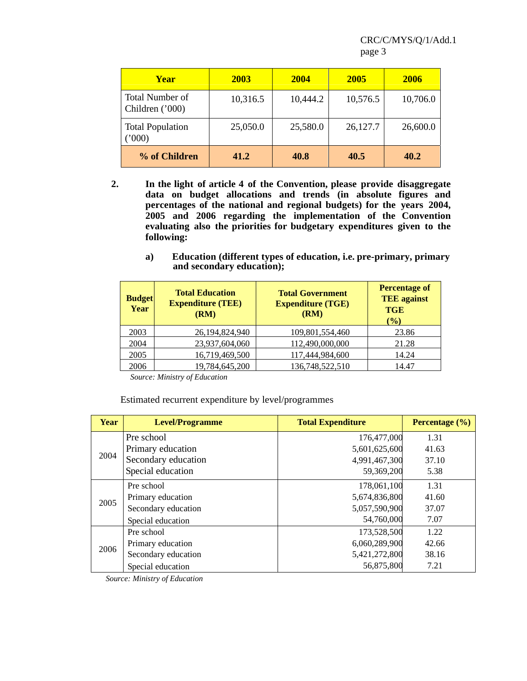| <b>Year</b>                        | 2003     | 2004     | 2005     | 2006     |
|------------------------------------|----------|----------|----------|----------|
| Total Number of<br>Children ('000) | 10,316.5 | 10,444.2 | 10,576.5 | 10,706.0 |
| <b>Total Population</b><br>(000)   | 25,050.0 | 25,580.0 | 26,127.7 | 26,600.0 |
| % of Children                      | 41.2     | 40.8     | 40.5     | 40.2     |

- **2. In the light of article 4 of the Convention, please provide disaggregate data on budget allocations and trends (in absolute figures and percentages of the national and regional budgets) for the years 2004, 2005 and 2006 regarding the implementation of the Convention evaluating also the priorities for budgetary expenditures given to the following:**
	- **a) Education (different types of education, i.e. pre-primary, primary and secondary education);**

| <b>Budget</b><br><b>Year</b> | <b>Total Education</b><br><b>Expenditure (TEE)</b><br>(RM) | <b>Total Government</b><br><b>Expenditure (TGE)</b><br>(RM) | <b>Percentage of</b><br><b>TEE</b> against<br><b>TGE</b><br>$($ %) |
|------------------------------|------------------------------------------------------------|-------------------------------------------------------------|--------------------------------------------------------------------|
| 2003                         | 26,194,824,940                                             | 109,801,554,460                                             | 23.86                                                              |
| 2004                         | 23,937,604,060                                             | 112,490,000,000                                             | 21.28                                                              |
| 2005                         | 16,719,469,500                                             | 117,444,984,600                                             | 14.24                                                              |
| 2006                         | 19,784,645,200                                             | 136,748,522,510                                             | 14.47                                                              |

 *Source: Ministry of Education*

Estimated recurrent expenditure by level/programmes

| Year | <b>Level/Programme</b> | <b>Total Expenditure</b> | Percentage $(\% )$ |
|------|------------------------|--------------------------|--------------------|
|      | Pre school             | 176,477,000              | 1.31               |
|      | Primary education      | 5,601,625,600            | 41.63              |
| 2004 | Secondary education    | 4,991,467,300            | 37.10              |
|      | Special education      | 59,369,200               | 5.38               |
|      | Pre school             | 178,061,100              | 1.31               |
| 2005 | Primary education      | 5,674,836,800            | 41.60              |
|      | Secondary education    | 5,057,590,900            | 37.07              |
|      | Special education      | 54,760,000               | 7.07               |
|      | Pre school             | 173,528,500              | 1.22               |
| 2006 | Primary education      | 6,060,289,900            | 42.66              |
|      | Secondary education    | 5,421,272,800            | 38.16              |
|      | Special education      | 56,875,800               | 7.21               |

*Source: Ministry of Education*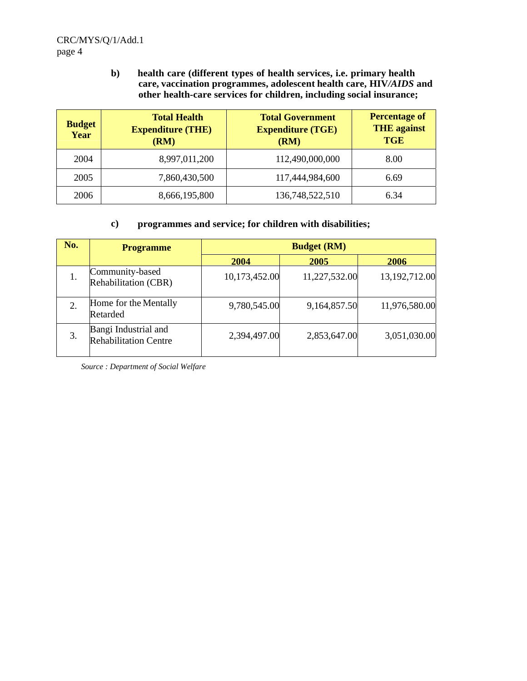**b) health care (different types of health services, i.e. primary health care, vaccination programmes, adolescent health care, HIV***/AIDS* **and other health-care services for children, including social insurance;**

| <b>Budget</b><br>Year | <b>Total Health</b><br><b>Expenditure (THE)</b><br>(RM) | <b>Total Government</b><br><b>Expenditure (TGE)</b><br>(RM) | <b>Percentage of</b><br><b>THE</b> against<br><b>TGE</b> |
|-----------------------|---------------------------------------------------------|-------------------------------------------------------------|----------------------------------------------------------|
| 2004                  | 8,997,011,200                                           | 112,490,000,000                                             | 8.00                                                     |
| 2005                  | 7,860,430,500                                           | 117,444,984,600                                             | 6.69                                                     |
| 2006                  | 8,666,195,800                                           | 136,748,522,510                                             | 6.34                                                     |

## **c) programmes and service; for children with disabilities;**

| No. | <b>Programme</b>                                     | <b>Budget (RM)</b> |               |               |
|-----|------------------------------------------------------|--------------------|---------------|---------------|
|     |                                                      | 2004               | 2005          | <b>2006</b>   |
| 1.  | Community-based<br>Rehabilitation (CBR)              | 10,173,452.00      | 11,227,532.00 | 13,192,712.00 |
| 2.  | Home for the Mentally<br>Retarded                    | 9,780,545.00       | 9,164,857.50  | 11,976,580.00 |
| 3.  | Bangi Industrial and<br><b>Rehabilitation Centre</b> | 2,394,497.00       | 2,853,647.00  | 3,051,030.00  |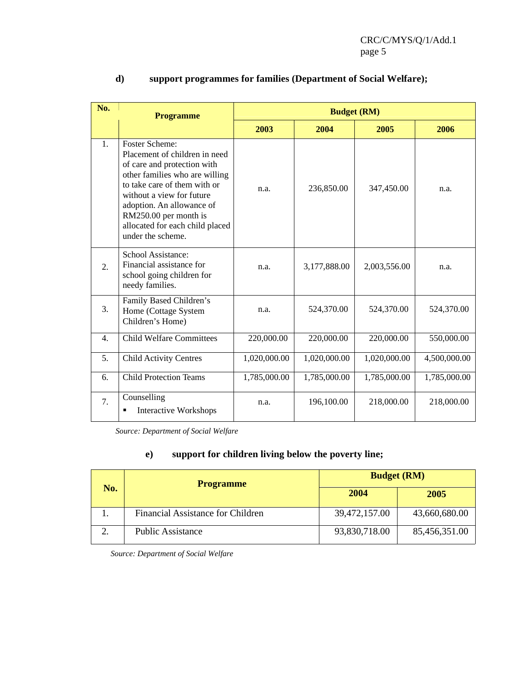| No.              | <b>Programme</b>                                                                                                                                                                                                                                                                                   |              | <b>Budget (RM)</b> |              |              |  |
|------------------|----------------------------------------------------------------------------------------------------------------------------------------------------------------------------------------------------------------------------------------------------------------------------------------------------|--------------|--------------------|--------------|--------------|--|
|                  |                                                                                                                                                                                                                                                                                                    | 2003         | 2004               | 2005         | 2006         |  |
| 1.               | <b>Foster Scheme:</b><br>Placement of children in need<br>of care and protection with<br>other families who are willing<br>to take care of them with or<br>without a view for future<br>adoption. An allowance of<br>RM250.00 per month is<br>allocated for each child placed<br>under the scheme. | n.a.         | 236,850.00         | 347,450.00   | n.a.         |  |
| 2.               | School Assistance:<br>Financial assistance for<br>school going children for<br>needy families.                                                                                                                                                                                                     | n.a.         | 3,177,888.00       | 2,003,556.00 | n.a.         |  |
| 3.               | Family Based Children's<br>Home (Cottage System<br>Children's Home)                                                                                                                                                                                                                                | n.a.         | 524,370.00         | 524,370.00   | 524,370.00   |  |
| $\overline{4}$ . | <b>Child Welfare Committees</b>                                                                                                                                                                                                                                                                    | 220,000.00   | 220,000.00         | 220,000.00   | 550,000.00   |  |
| 5.               | <b>Child Activity Centres</b>                                                                                                                                                                                                                                                                      | 1,020,000.00 | 1,020,000.00       | 1,020,000.00 | 4,500,000.00 |  |
| 6.               | <b>Child Protection Teams</b>                                                                                                                                                                                                                                                                      | 1,785,000.00 | 1,785,000.00       | 1,785,000.00 | 1,785,000.00 |  |
| 7.               | Counselling<br><b>Interactive Workshops</b>                                                                                                                                                                                                                                                        | n.a.         | 196,100.00         | 218,000.00   | 218,000.00   |  |

# **d) support programmes for families (Department of Social Welfare);**

*Source: Department of Social Welfare* 

# **e) support for children living below the poverty line;**

| No. | <b>Programme</b>                  | <b>Budget (RM)</b> |               |
|-----|-----------------------------------|--------------------|---------------|
|     |                                   | 2004<br>2005       |               |
| .,  | Financial Assistance for Children | 39,472,157.00      | 43,660,680.00 |
|     | <b>Public Assistance</b>          | 93,830,718.00      | 85,456,351.00 |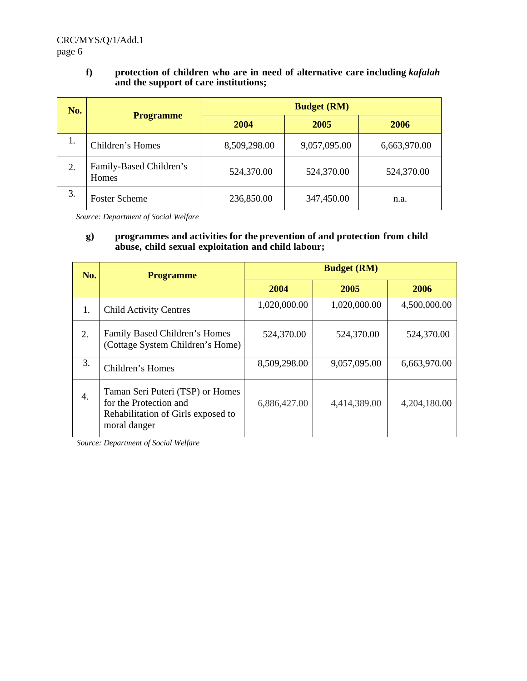## **f) protection of children who are in need of alternative care including** *kafalah* **and the support of care institutions;**

| No. |                                  | <b>Budget (RM)</b> |              |              |  |  |
|-----|----------------------------------|--------------------|--------------|--------------|--|--|
|     | <b>Programme</b>                 | 2004               | 2005         | 2006         |  |  |
| 1.  | Children's Homes                 | 8,509,298.00       | 9,057,095.00 | 6,663,970.00 |  |  |
| 2.  | Family-Based Children's<br>Homes | 524,370.00         | 524,370.00   | 524,370.00   |  |  |
| 3.  | <b>Foster Scheme</b>             | 236,850.00         | 347,450.00   | n.a.         |  |  |

*Source: Department of Social Welfare* 

## **g) programmes and activities for the prevention of and protection from child abuse, child sexual exploitation and child labour;**

| No. | <b>Programme</b>                                                                                                 |              | <b>Budget (RM)</b> |              |
|-----|------------------------------------------------------------------------------------------------------------------|--------------|--------------------|--------------|
|     |                                                                                                                  | 2004         | 2005               | 2006         |
| 1.  | <b>Child Activity Centres</b>                                                                                    | 1,020,000.00 | 1,020,000.00       | 4,500,000.00 |
| 2.  | Family Based Children's Homes<br>(Cottage System Children's Home)                                                | 524,370.00   | 524,370.00         | 524,370.00   |
| 3.  | Children's Homes                                                                                                 | 8,509,298.00 | 9,057,095.00       | 6,663,970.00 |
| 4.  | Taman Seri Puteri (TSP) or Homes<br>for the Protection and<br>Rehabilitation of Girls exposed to<br>moral danger | 6,886,427.00 | 4,414,389.00       | 4,204,180.00 |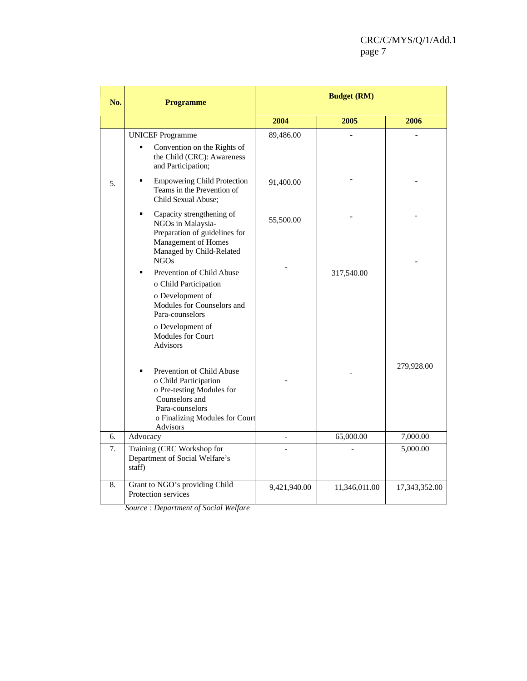| No. | <b>Programme</b>                                                                                                                                                                                           |              | <b>Budget (RM)</b> |               |
|-----|------------------------------------------------------------------------------------------------------------------------------------------------------------------------------------------------------------|--------------|--------------------|---------------|
|     |                                                                                                                                                                                                            | 2004         | 2005               | 2006          |
|     | <b>UNICEF Programme</b><br>Convention on the Rights of<br>the Child (CRC): Awareness<br>and Participation;                                                                                                 | 89,486.00    |                    |               |
| 5.  | <b>Empowering Child Protection</b><br>٠<br>Teams in the Prevention of<br>Child Sexual Abuse;                                                                                                               | 91,400.00    |                    |               |
|     | Capacity strengthening of<br>٠<br>NGOs in Malaysia-<br>Preparation of guidelines for<br>Management of Homes<br>Managed by Child-Related<br>NGOs                                                            | 55,500.00    |                    |               |
|     | Prevention of Child Abuse<br>o Child Participation<br>o Development of<br>Modules for Counselors and<br>Para-counselors<br>o Development of                                                                |              | 317,540.00         |               |
|     | Modules for Court<br><b>Advisors</b><br>Prevention of Child Abuse<br>o Child Participation<br>o Pre-testing Modules for<br>Counselors and<br>Para-counselors<br>o Finalizing Modules for Court<br>Advisors |              |                    | 279,928.00    |
| 6.  | Advocacy                                                                                                                                                                                                   |              | 65,000.00          | 7,000.00      |
| 7.  | Training (CRC Workshop for<br>Department of Social Welfare's<br>staff)                                                                                                                                     |              |                    | 5,000.00      |
| 8.  | Grant to NGO's providing Child<br>Protection services                                                                                                                                                      | 9,421,940.00 | 11,346,011.00      | 17,343,352.00 |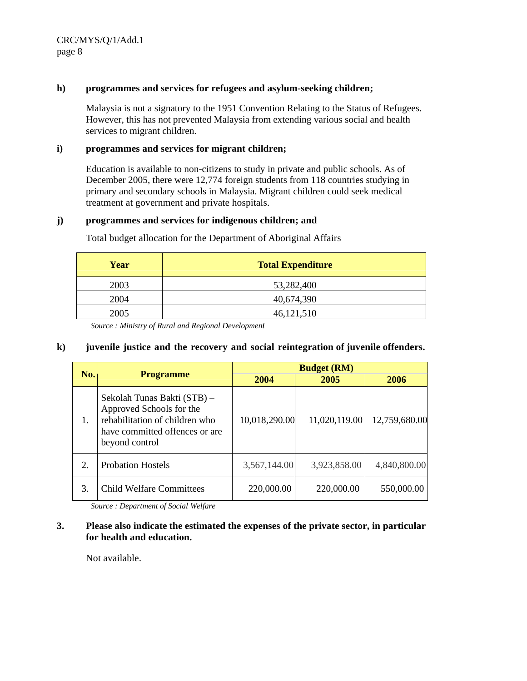CRC/MYS/Q/1/Add.1 page 8

#### **h) programmes and services for refugees and asylum-seeking children;**

 Malaysia is not a signatory to the 1951 Convention Relating to the Status of Refugees. However, this has not prevented Malaysia from extending various social and health services to migrant children.

#### **i) programmes and services for migrant children;**

 Education is available to non-citizens to study in private and public schools. As of December 2005, there were 12,774 foreign students from 118 countries studying in primary and secondary schools in Malaysia. Migrant children could seek medical treatment at government and private hospitals.

#### **j) programmes and services for indigenous children; and**

| Year | <b>Total Expenditure</b> |
|------|--------------------------|
| 2003 | 53,282,400               |
| 2004 | 40,674,390               |
| 2005 | 46,121,510               |

Total budget allocation for the Department of Aboriginal Affairs

*Source : Ministry of Rural and Regional Development*

#### **k) juvenile justice and the recovery and social reintegration of juvenile offenders.**

|                         |                                                                                                                                               |               | <b>Budget (RM)</b> |               |  |
|-------------------------|-----------------------------------------------------------------------------------------------------------------------------------------------|---------------|--------------------|---------------|--|
| No.<br><b>Programme</b> |                                                                                                                                               | 2004          | 2005               | 2006          |  |
| 1.                      | Sekolah Tunas Bakti (STB) -<br>Approved Schools for the<br>rehabilitation of children who<br>have committed offences or are<br>beyond control | 10,018,290.00 | 11,020,119.00      | 12,759,680.00 |  |
| $\overline{2}$          | <b>Probation Hostels</b>                                                                                                                      | 3,567,144.00  | 3,923,858.00       | 4,840,800.00  |  |
| 3.                      | <b>Child Welfare Committees</b>                                                                                                               | 220,000.00    | 220,000.00         | 550,000.00    |  |

*Source : Department of Social Welfare*

#### **3. Please also indicate the estimated the expenses of the private sector, in particular for health and education.**

Not available.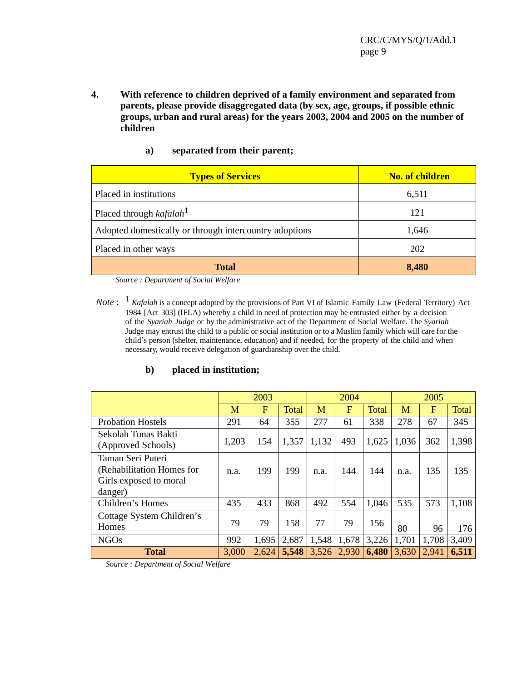**4. With reference to children deprived of a family environment and separated from parents, please provide disaggregated data (by sex, age, groups, if possible ethnic groups, urban and rural areas) for the years 2003, 2004 and 2005 on the number of children** 

| a) | separated from their parent; |  |  |
|----|------------------------------|--|--|
|    |                              |  |  |

| <b>Types of Services</b>                               | <b>No. of children</b> |
|--------------------------------------------------------|------------------------|
| Placed in institutions                                 | 6,511                  |
| Placed through $kafalah1$                              | 121                    |
| Adopted domestically or through intercountry adoptions | 1,646                  |
| Placed in other ways                                   | 202                    |
| <b>Total</b>                                           | 8,480                  |

*Source : Department of Social Welfare*

*Note*: <sup>1</sup> *Kafalah* is a concept adopted by the provisions of Part VI of Islamic Family Law (Federal Territory) Act 1984 [Act 303] (IFLA) whereby a child in need of protection may be entrusted either by a decision of the *Syariah Judge* or by the administrative act of the Department of Social Welfare. The *Syariah* Judge may entrust the child to a public or social institution or to a Muslim family which will care for the child's person (shelter, maintenance, education) and if needed, for the property of the child and when necessary, would receive delegation of guardianship over the child.

## **b) placed in institution;**

|                                                                                     | 2003  |            | 2004  |       |       | 2005  |       |       |       |
|-------------------------------------------------------------------------------------|-------|------------|-------|-------|-------|-------|-------|-------|-------|
|                                                                                     | M     | $_{\rm F}$ | Total | M     | F     | Total | M     | F     | Total |
| <b>Probation Hostels</b>                                                            | 291   | 64         | 355   | 277   | 61    | 338   | 278   | 67    | 345   |
| Sekolah Tunas Bakti<br>(Approved Schools)                                           | 1,203 | 154        | 1,357 | 1,132 | 493   | 1,625 | 1,036 | 362   | 1,398 |
| Taman Seri Puteri<br>(Rehabilitation Homes for<br>Girls exposed to moral<br>danger) | n.a.  | 199        | 199   | n.a.  | 144   | 144   | n.a.  | 135   | 135   |
| Children's Homes                                                                    | 435   | 433        | 868   | 492   | 554   | 1,046 | 535   | 573   | 1,108 |
| Cottage System Children's<br>Homes                                                  | 79    | 79         | 158   | 77    | 79    | 156   | 80    | 96    | 176   |
| <b>NGOs</b>                                                                         | 992   | 1,695      | 2,687 | 1,548 | 1,678 | 3,226 | 1,701 | 1,708 | 3,409 |
| <b>Total</b>                                                                        | 3,000 | 2,624      | 5,548 | 3,526 | 2,930 | 6,480 | 3,630 | 2,941 | 6,511 |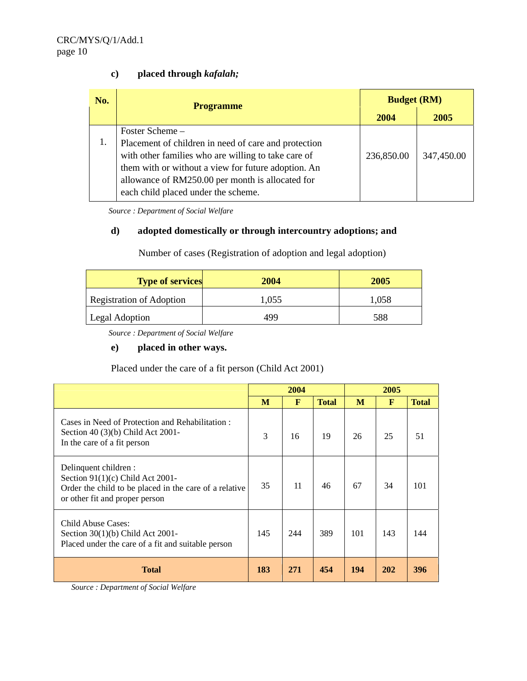# **c) placed through** *kafalah;*

| No. | <b>Programme</b>                                     | <b>Budget (RM)</b> |            |  |
|-----|------------------------------------------------------|--------------------|------------|--|
|     |                                                      | 2004               | 2005       |  |
|     | Foster Scheme -                                      |                    |            |  |
|     | Placement of children in need of care and protection |                    |            |  |
|     | with other families who are willing to take care of  | 236,850.00         | 347,450.00 |  |
|     | them with or without a view for future adoption. An  |                    |            |  |
|     | allowance of RM250.00 per month is allocated for     |                    |            |  |
|     | each child placed under the scheme.                  |                    |            |  |

*Source : Department of Social Welfare*

# **d) adopted domestically or through intercountry adoptions; and**

Number of cases (Registration of adoption and legal adoption)

| <b>Type of services</b>         | 2004  | 2005  |
|---------------------------------|-------|-------|
| <b>Registration of Adoption</b> | 1,055 | 1,058 |
| Legal Adoption                  | 499   | 588   |

*Source : Department of Social Welfare*

## **e) placed in other ways.**

Placed under the care of a fit person (Child Act 2001)

|                                                                                                                                                         |     | 2004         |              |     |              |              |
|---------------------------------------------------------------------------------------------------------------------------------------------------------|-----|--------------|--------------|-----|--------------|--------------|
|                                                                                                                                                         | M   | $\mathbf{F}$ | <b>Total</b> | M   | $\mathbf{F}$ | <b>Total</b> |
| Cases in Need of Protection and Rehabilitation:<br>Section 40 (3)(b) Child Act 2001-<br>In the care of a fit person                                     | 3   | 16           | 19           | 26  | 25           | 51           |
| Delinquent children :<br>Section $91(1)(c)$ Child Act 2001-<br>Order the child to be placed in the care of a relative<br>or other fit and proper person | 35  | 11           | 46           | 67  | 34           | 101          |
| Child Abuse Cases:<br>Section $30(1)(b)$ Child Act 2001-<br>Placed under the care of a fit and suitable person                                          | 145 | 244          | 389          | 101 | 143          | 144          |
| <b>Total</b>                                                                                                                                            | 183 | 271          | 454          | 194 | <b>202</b>   | 396          |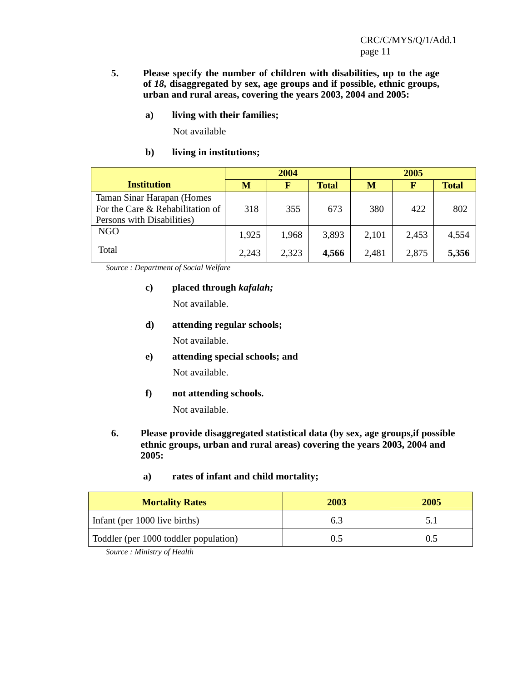- **5. Please specify the number of children with disabilities, up to the age of** *18,* **disaggregated by sex, age groups and if possible, ethnic groups, urban and rural areas, covering the years 2003, 2004 and 2005:**
	- **a) living with their families;**

Not available

**b) living in institutions;**

|                                                                                              | 2004  |       |              | 2005  |       |              |  |
|----------------------------------------------------------------------------------------------|-------|-------|--------------|-------|-------|--------------|--|
| <b>Institution</b>                                                                           | М     | F     | <b>Total</b> | M     | F     | <b>Total</b> |  |
| Taman Sinar Harapan (Homes<br>For the Care & Rehabilitation of<br>Persons with Disabilities) | 318   | 355   | 673          | 380   | 422   | 802          |  |
| NGO                                                                                          | 1,925 | 1,968 | 3,893        | 2,101 | 2,453 | 4,554        |  |
| Total                                                                                        | 2,243 | 2,323 | 4,566        | 2,481 | 2,875 | 5,356        |  |

*Source : Department of Social Welfare*

**c) placed through** *kafalah;*

Not available.

**d) attending regular schools;**

Not available.

- **e) attending special schools; and** Not available.
- **f) not attending schools.**

Not available.

- **6. Please provide disaggregated statistical data (by sex, age groups,if possible ethnic groups, urban and rural areas) covering the years 2003, 2004 and 2005:**
	- **a) rates of infant and child mortality;**

| <b>Mortality Rates</b>                | 2003 | 2005 |
|---------------------------------------|------|------|
| Infant (per 1000 live births)         | 6.3  | 5 I  |
| Toddler (per 1000 toddler population) | 0.5  |      |

*Source : Ministry of Health*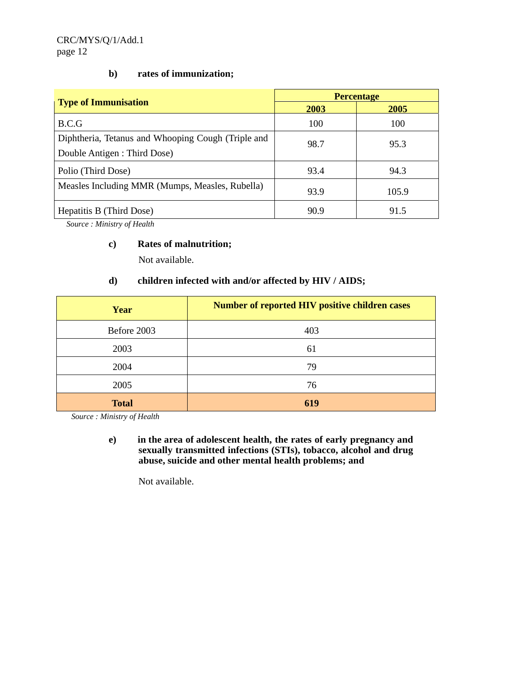# **b) rates of immunization;**

|                                                                                    | <b>Percentage</b> |       |  |  |
|------------------------------------------------------------------------------------|-------------------|-------|--|--|
| <b>Type of Immunisation</b>                                                        | 2003              | 2005  |  |  |
| B.C.G                                                                              | 100               | 100   |  |  |
| Diphtheria, Tetanus and Whooping Cough (Triple and<br>Double Antigen : Third Dose) | 98.7              | 95.3  |  |  |
| Polio (Third Dose)                                                                 | 93.4              | 94.3  |  |  |
| Measles Including MMR (Mumps, Measles, Rubella)                                    | 93.9              | 105.9 |  |  |
| Hepatitis B (Third Dose)                                                           | 90.9              | 91.5  |  |  |

*Source : Ministry of Health*

## **c) Rates of malnutrition;**

Not available.

# **d) children infected with and/or affected by HIV / AIDS;**

| Year         | <b>Number of reported HIV positive children cases</b> |
|--------------|-------------------------------------------------------|
| Before 2003  | 403                                                   |
| 2003         | 61                                                    |
| 2004         | 79                                                    |
| 2005         | 76                                                    |
| <b>Total</b> | 619                                                   |

*Source : Ministry of Health*

**e) in the area of adolescent health, the rates of early pregnancy and sexually transmitted infections (STIs), tobacco, alcohol and drug abuse, suicide and other mental health problems; and**

Not available.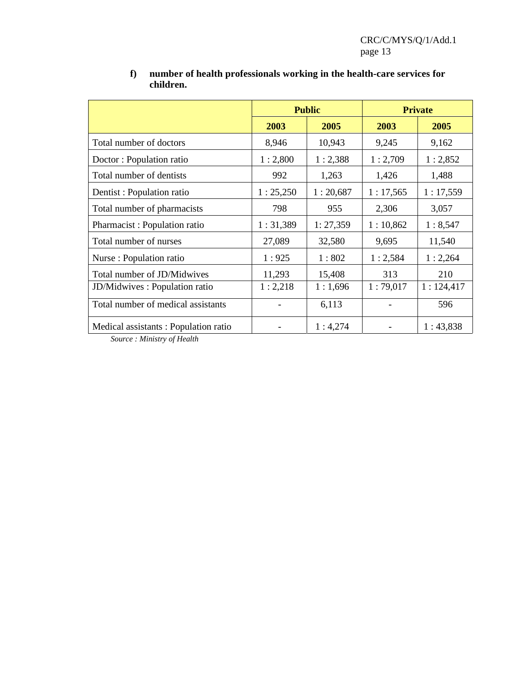|                                                                                                   |          | <b>Public</b> |          | <b>Private</b> |
|---------------------------------------------------------------------------------------------------|----------|---------------|----------|----------------|
|                                                                                                   | 2003     | 2005          | 2003     | 2005           |
| Total number of doctors                                                                           | 8,946    | 10,943        | 9,245    | 9,162          |
| Doctor: Population ratio                                                                          | 1:2,800  | 1:2,388       | 1:2,709  | 1:2,852        |
| Total number of dentists                                                                          | 992      | 1,263         | 1,426    | 1,488          |
| Dentist: Population ratio                                                                         | 1:25,250 | 1:20,687      | 1:17,565 | 1:17,559       |
| Total number of pharmacists                                                                       | 798      | 955           | 2,306    | 3,057          |
| Pharmacist: Population ratio                                                                      | 1:31,389 | 1: 27,359     | 1:10,862 | 1:8,547        |
| Total number of nurses                                                                            | 27,089   | 32,580        | 9,695    | 11,540         |
| Nurse : Population ratio                                                                          | 1:925    | 1:802         | 1:2,584  | 1:2,264        |
| Total number of JD/Midwives                                                                       | 11,293   | 15,408        | 313      | 210            |
| JD/Midwives: Population ratio                                                                     | 1:2,218  | 1:1,696       | 1:79,017 | 1:124,417      |
| Total number of medical assistants                                                                |          | 6,113         |          | 596            |
| Medical assistants: Population ratio<br>$S_{\alpha\mu\nu\rho\sigma}$ . <i>Ministra, of Hoalth</i> |          | 1:4,274       |          | 1:43,838       |

# **f) number of health professionals working in the health-care services for children.**

*Source : Ministry of Health*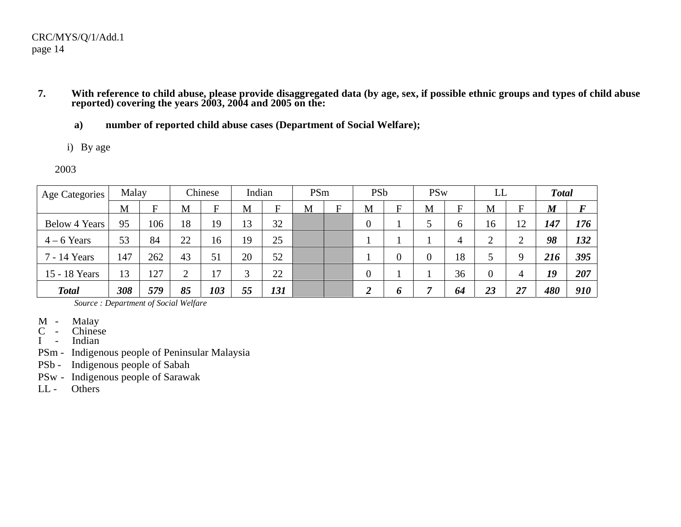## CRC/MYS/Q/1/Add.1 page 14

- **7.**. With reference to child abuse, please provide disaggregated data (by age, sex, if possible ethnic groups and types of child abuse **reported) covering the years 2003, 2004 and 2005 on the:**
	- **a) number of reported child abuse cases (Department of Social Welfare);**
	- i) By age
	- 2003

| Age Categories       | Malay |     |    | Chinese | Indian       |     | PSm |             | <b>PSb</b>       |                | <b>PSw</b> |           | LL               |                | <b>Total</b>     |                  |
|----------------------|-------|-----|----|---------|--------------|-----|-----|-------------|------------------|----------------|------------|-----------|------------------|----------------|------------------|------------------|
|                      | M     | F   | M  | F       | M            | F   | M   | $\mathbf F$ | M                | $\mathbf F$    | M          | ${\bf F}$ | M                | F              | $\boldsymbol{M}$ | $\boldsymbol{F}$ |
| <b>Below 4 Years</b> | 95    | 106 | 18 | 19      | 13           | 32  |     |             | $\boldsymbol{0}$ |                | ◡          | 6         | 16               | 12             | 147              | 176              |
| $4 - 6$ Years        | 53    | 84  | 22 | 16      | 19           | 25  |     |             |                  |                |            | 4         | $\overline{2}$   | $\overline{2}$ | 98               | 132              |
| 7 - 14 Years         | 147   | 262 | 43 | 51      | 20           | 52  |     |             |                  | $\overline{0}$ | $\theta$   | 18        | ◡                | 9              | 216              | 395              |
| 15 - 18 Years        | 13    | 127 | ◠  | 17      | $\mathbf{c}$ | 22  |     |             | $\overline{0}$   |                |            | 36        | $\boldsymbol{0}$ | 4              | 19               | 207              |
| <b>Total</b>         | 308   | 579 | 85 | 103     | 55           | 131 |     |             | $\overline{2}$   | 0              | 7          | 64        | 23               | 27             | 480              | 910              |

- M Malay
- C Chinese
- I Indian
- PSm Indigenous people of Peninsular Malaysia
- PSb Indigenous people of Sabah
- PSw Indigenous people of Sarawak
- $LL -$ **Others**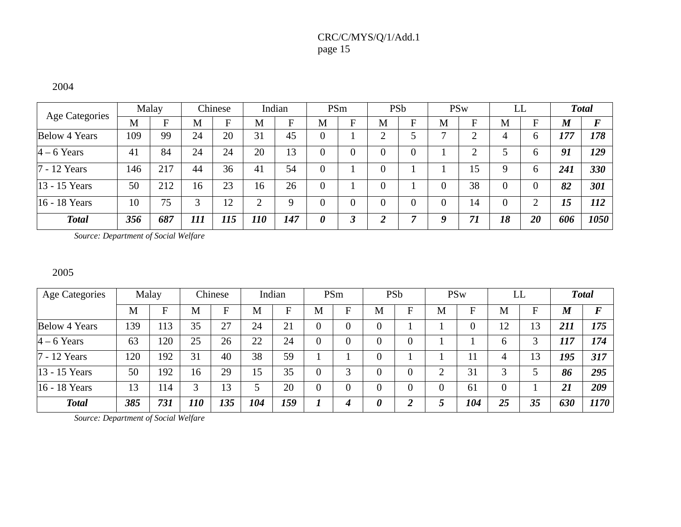# CRC/C/MYS/Q/1/Add.1 page 15

#### 2004

|                       |     | Malay |     | Chinese |            | Indian |   | PSm |   | <b>PSb</b> |   | <b>PSw</b> |    | LL           |                  | <b>Total</b> |
|-----------------------|-----|-------|-----|---------|------------|--------|---|-----|---|------------|---|------------|----|--------------|------------------|--------------|
| <b>Age Categories</b> | M   | F     | M   | Ħ       | M          | F.     | M | F   | M | F          | M | F.         | M  | F            | $\boldsymbol{M}$ | $\bm{F}$     |
| <b>Below 4 Years</b>  | 109 | 99    | 24  | 20      | 31         | 45     |   |     |   |            |   |            | 4  | 6            | 177              | 178          |
| $4 - 6$ Years         | 41  | 84    | 24  | 24      | 20         | 13     |   |     |   |            |   |            |    | <sub>6</sub> | 91               | 129          |
| 7 - 12 Years          | 146 | 217   | 44  | 36      | 41         | 54     | 0 |     |   |            |   | 15         |    | <sub>6</sub> | 241              | 330          |
| 13 - 15 Years         | 50  | 212   | 16  | 23      | 16         | 26     | 0 |     |   |            |   | 38         |    | $\Omega$     | 82               | 301          |
| 16 - 18 Years         | 10  | 75    |     | 12      |            | a      |   |     |   |            |   | 14         |    | ◠            | 15               | 112          |
| <b>Total</b>          | 356 | 687   | 111 | 115     | <i>110</i> | 147    | 0 |     |   |            |   | 71         | 18 | 20           | 606              | 1050         |

*Source: Department of Social Welfare*

#### 2005

| <b>Age Categories</b> |     | Malay |            | Chinese |     | Indian |                | PSm                       |                       | PSb              |                | <b>PSw</b>     | LL             |    |                  | <b>Total</b>     |
|-----------------------|-----|-------|------------|---------|-----|--------|----------------|---------------------------|-----------------------|------------------|----------------|----------------|----------------|----|------------------|------------------|
|                       | M   | F     | M          | F       | M   | F      | M              | $\boldsymbol{\mathrm{F}}$ | M                     | F                | M              | F              | M              | F  | $\boldsymbol{M}$ | $\boldsymbol{F}$ |
| <b>Below 4 Years</b>  | 139 | 113   | 35         | 27      | 24  | 21     | $\overline{0}$ | $\overline{0}$            | $\overline{0}$        |                  |                | $\overline{0}$ | 12             | 13 | 211              | 175              |
| $4 - 6$ Years         | 63  | 120   | 25         | 26      | 22  | 24     | $\overline{0}$ | $\overline{0}$            | $\overline{0}$        | $\overline{0}$   |                |                | 6              | 3  | 117              | 174              |
| 7 - 12 Years          | 120 | 192   | 31         | 40      | 38  | 59     |                |                           | $\overline{0}$        |                  |                | 11             |                | 13 | 195              | 317              |
| 13 - 15 Years         | 50  | 192   | 16         | 29      | 15  | 35     | $\overline{0}$ | 3                         | $\overline{0}$        | $\overline{0}$   | ി              | 31             | $\mathbf 3$    | ς  | 86               | 295              |
| 16 - 18 Years         | 13  | 114   | 3          | 13      |     | 20     | $\overline{0}$ | $\overline{0}$            | $\overline{0}$        | $\overline{0}$   | $\overline{0}$ | 61             | $\overline{0}$ |    | 21               | 209              |
| <b>Total</b>          | 385 | 731   | <i>110</i> | 135     | 104 | 159    |                | $\boldsymbol{4}$          | $\boldsymbol{\theta}$ | $\boldsymbol{2}$ | 5              | 104            | 25             | 35 | 630              | 1170             |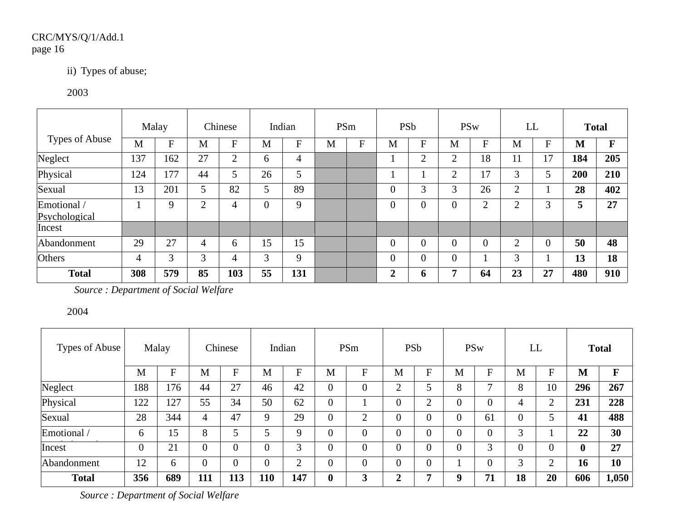# CRC/MYS/Q/1/Add.1 page 16

# ii) Types of abuse;

## 2003

|                              |     | Malay |                | Chinese                 |                | Indian         |   | PSm            | <b>PSb</b>     |                |                | <b>PSw</b>     |                | LL             | <b>Total</b> |             |
|------------------------------|-----|-------|----------------|-------------------------|----------------|----------------|---|----------------|----------------|----------------|----------------|----------------|----------------|----------------|--------------|-------------|
| Types of Abuse               | M   | F     | M              | $\overline{\mathrm{F}}$ | M              | $\overline{F}$ | M | $\overline{F}$ | M              | $\mathbf F$    | M              | ${\bf F}$      | M              | $\mathbf F$    | M            | $\mathbf F$ |
| Neglect                      | 137 | 162   | 27             | 2                       | 6              | 4              |   |                |                | $\overline{2}$ | $\overline{2}$ | 18             | 11             | 17             | 184          | 205         |
| Physical                     | 124 | 177   | 44             | 5                       | 26             | 5              |   |                |                |                | $\overline{2}$ | 17             | 3              | 5              | 200          | 210         |
| Sexual                       | 13  | 201   | 5              | 82                      | 5              | 89             |   |                | $\theta$       | $\sim$         | 3              | 26             | 2              |                | 28           | 402         |
| Emotional /<br>Psychological |     | 9     | $\overline{2}$ | 4                       | $\overline{0}$ | 9              |   |                | $\theta$       |                | $\overline{0}$ | $\overline{2}$ | $\overline{2}$ | 3              | 5            | 27          |
| Incest                       |     |       |                |                         |                |                |   |                |                |                |                |                |                |                |              |             |
| Abandonment                  | 29  | 27    | 4              | 6                       | 15             | 15             |   |                | $\theta$       |                | $\theta$       | $\Omega$       | $\overline{2}$ | $\overline{0}$ | 50           | 48          |
| Others                       | 4   | 3     | 3              | 4                       | 3              | 9              |   |                | $\theta$       |                | $\overline{0}$ |                | 3              |                | 13           | 18          |
| <b>Total</b>                 | 308 | 579   | 85             | 103                     | 55             | 131            |   |                | $\overline{2}$ | 6              | 7              | 64             | 23             | 27             | 480          | 910         |

*Source : Department of Social Welfare*

## 2004

| Types of Abuse |                | Malay     |                | Chinese        |                | Indian         |                  | PSm            |                | PSb            |                  | <b>PSw</b>     | LL             |                |                  | <b>Total</b> |
|----------------|----------------|-----------|----------------|----------------|----------------|----------------|------------------|----------------|----------------|----------------|------------------|----------------|----------------|----------------|------------------|--------------|
|                | M              | ${\bf F}$ | M              | F              | M              | $\mathbf F$    | M                | F              | M              | $F_{\rm}$      | M                | $\mathbf F$    | M              | ${\bf F}$      | M                | $\mathbf F$  |
| Neglect        | 188            | 176       | 44             | 27             | 46             | 42             | $\overline{0}$   | $\theta$       | ◠              |                | 8                | ⇁              | 8              | 10             | 296              | 267          |
| Physical       | 122            | 127       | 55             | 34             | 50             | 62             | $\overline{0}$   |                | 0              | ◠              | $\overline{0}$   | $\overline{0}$ | 4              | $\overline{2}$ | 231              | 228          |
| Sexual         | 28             | 344       | 4              | 47             | 9              | 29             | $\overline{0}$   | $\overline{2}$ | $\overline{0}$ | $\Omega$       | $\boldsymbol{0}$ | 61             | $\overline{0}$ | 5              | 41               | 488          |
| Emotional /    | 6              | 15        | 8              | 5              | 5              | 9              | $\overline{0}$   | $\theta$       | 0              |                | $\overline{0}$   | $\overline{0}$ | 3              |                | 22               | 30           |
| Incest         | $\overline{0}$ | 21        | $\overline{0}$ | $\overline{0}$ | $\overline{0}$ | 3              | $\overline{0}$   | $\overline{0}$ | $\overline{0}$ | $\overline{0}$ | $\overline{0}$   | 3              | $\overline{0}$ | $\overline{0}$ | $\boldsymbol{0}$ | 27           |
| Abandonment    | 12             | 6         | $\theta$       | $\theta$       | $\overline{0}$ | $\overline{2}$ | $\overline{0}$   | $\theta$       | 0              |                |                  | $\overline{0}$ | 3              | $\overline{2}$ | 16               | 10           |
| <b>Total</b>   | 356            | 689       | 111            | 113            | 110            | 147            | $\boldsymbol{0}$ | 3              | ↑              |                | 9                | 71             | 18             | 20             | 606              | 1,050        |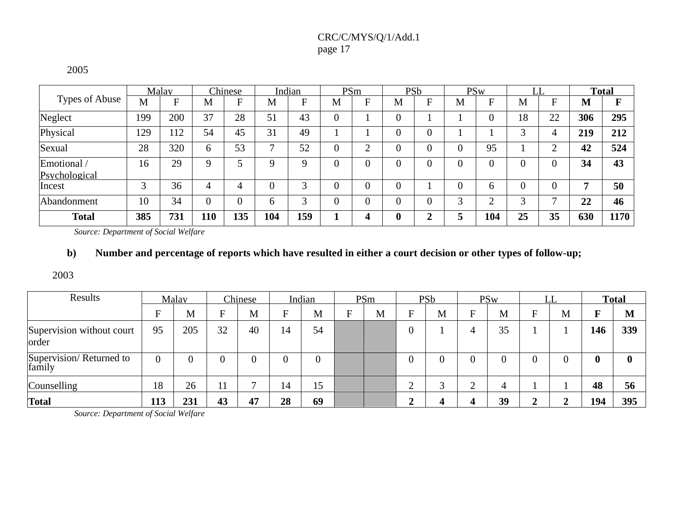# CRC/C/MYS/Q/1/Add.1 page 17

#### 2005

|                |             | Malay        |          | Chinese |              | Indian        | PSm            |   | PSb |   |          | <b>PSw</b>   | LL             |                |     | <b>Total</b> |
|----------------|-------------|--------------|----------|---------|--------------|---------------|----------------|---|-----|---|----------|--------------|----------------|----------------|-----|--------------|
| Types of Abuse | M           | $\mathbf{F}$ | Μ        | F       | М            | $\mathbf{F}$  | M              | F | M   | Ħ | M        | F            | M              | F              | М   | F            |
| Neglect        | 199         | 200          | 37       | 28      | 51           | 43            | 0              |   |     |   |          |              | 18             | 22             | 306 | 295          |
| Physical       | 129         | 12           | 54       | 45      | 31           | 49            |                |   |     |   |          |              | 2              | 4              | 219 | 212          |
| Sexual         | 28          | 320          | 6        | 53      | $\mathbf{r}$ | 52            | $\overline{0}$ | ◠ |     |   | $\Omega$ | 95           |                | ◠              | 42  | 524          |
| Emotional /    | 16          | 29           | Q        |         | Q            | Q             | $\Omega$       | 0 |     |   | $\Omega$ | 0            | $\overline{0}$ | $\overline{0}$ | 34  | 43           |
| Psychological  |             |              |          |         |              |               |                |   |     |   |          |              |                |                |     |              |
| Incest         | $\mathbf 3$ | 36           |          |         |              | $\mathbf{R}$  |                |   |     |   | $\Omega$ | <sub>6</sub> | $\overline{0}$ |                | 7   | 50           |
| Abandonment    | 10          | 34           | $\Omega$ | 0       | h            | $\mathcal{R}$ | $\theta$       |   |     |   | 3        | ◠            | 2              | −              | 22  | 46           |
| <b>Total</b>   | 385         | 731          | 110      | 135     | 104          | 159           |                |   | 0   | ◠ |          | 104          | 25             | 35             | 630 | 1170         |

*Source: Department of Social Welfare*

## b) Number and percentage of reports which have resulted in either a court decision or other types of follow-up;

2003

| Results                            |          | Malav |    | Chinese |    | Indian | PSm |                           | <b>PSb</b> |                | <b>PSw</b> |   |   |             | <b>Total</b> |
|------------------------------------|----------|-------|----|---------|----|--------|-----|---------------------------|------------|----------------|------------|---|---|-------------|--------------|
|                                    | F        | M     | Е  | M       | F  | M      | M   | $\boldsymbol{\mathrm{F}}$ | M          | F              | M          | Ħ | M | F           | M            |
| Supervision without court<br>order | 95       | 205   | 32 | 40      | 14 | 54     |     |                           |            | 4              | 35         |   |   | 146         | 339          |
| Supervision/Returned to<br>family  | $\Omega$ |       |    |         |    |        |     |                           |            | $\overline{0}$ |            |   |   | $\mathbf 0$ | $\mathbf{0}$ |
| Counselling                        | 18       | 26    | 11 |         | 14 | 15     |     | ⌒<br>∠                    | ⌒          | $\bigcap$      | 4          |   |   | 48          | 56           |
| <b>Total</b>                       | 113      | 231   | 43 | 47      | 28 | 69     |     | ◢                         |            | $\Delta$       | 39         |   |   | 194         | 395          |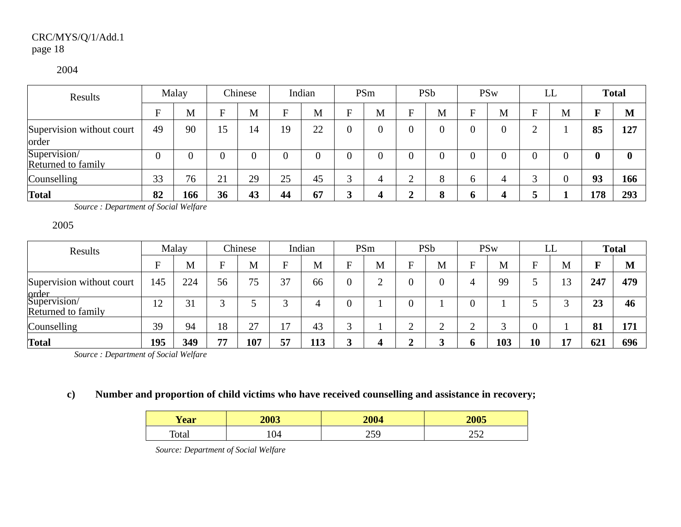# CRC/MYS/Q/1/Add.1 page 18

#### 2004

| Results                            |    | Malay |    | Chinese |    | Indian |   | PSm |                 | PSb               |              | <b>PSw</b>     |        | LL |              | <b>Total</b> |
|------------------------------------|----|-------|----|---------|----|--------|---|-----|-----------------|-------------------|--------------|----------------|--------|----|--------------|--------------|
|                                    | Е  | M     |    | M       | F  | M      | Е | M   | F               | M                 | $\mathbf{E}$ | M              | F      | M  | F            | M            |
| Supervision without court<br>order | 49 | 90    | 15 | 14      | 19 | 22     |   |     | $\overline{0}$  |                   |              | $\overline{0}$ | ◠      |    | 85           | 127          |
| Supervision/<br>Returned to family |    |       |    | 0       | 0  |        |   |     | $\overline{0}$  | 0                 | 0            |                | 0      |    | $\mathbf{0}$ | 0            |
| Counselling                        | 33 | 76    | 21 | 29      | 25 | 45     |   | 4   | $\bigcirc$<br>∠ | $\circ$<br>∧      | $\sigma$     | 4              | $\sim$ |    | 93           | 166          |
| <b>Total</b>                       | 82 | 166   | 36 | 43      | 44 | 67     | 3 | 4   | 2               | $\mathbf{o}$<br>ō | O            | $\Delta$       |        |    | 178          | 293          |

*Source : Department of Social Welfare*

2005

| Results                                     |     | Malay |    | Chinese |        | Indian |   | PSm    |                         | PSb    |   | <b>PSw</b> |    | LL |     | <b>Total</b> |
|---------------------------------------------|-----|-------|----|---------|--------|--------|---|--------|-------------------------|--------|---|------------|----|----|-----|--------------|
|                                             | F.  | M     | Е  | M       | п      | M      |   | M      | F                       | M      | E | M          | Е  | M  | F   | M            |
| Supervision without court                   | 145 | 224   | 56 | 75      | 37     | 66     |   | ⌒<br>↵ | $\overline{0}$          |        |   | 99         |    | 13 | 247 | 479          |
| order<br>Supervision/<br>Returned to family | 12  | 31    |    |         | $\sim$ |        |   |        | $\overline{0}$          |        |   |            |    |    | 23  | 46           |
| Counselling                                 | 39  | 94    | 18 | 27      | 17     | 43     | ⌒ |        | ⌒<br>∠                  | ⌒<br>∼ | ◠ |            |    |    | 81  | 171          |
| Total                                       | 195 | 349   | 77 | 107     | 57     | 113    |   | 4      | $\mathbf{\hat{z}}$<br>◢ |        | o | 103        | 10 |    | 621 | 696          |

*Source : Department of Social Welfare*

## **c) Number and proportion of child victims who have received counselling and assistance in recovery;**

| <b>Year</b> | 2003 | 2004 | 2005       |
|-------------|------|------|------------|
| Total       | 104  | ر ب  | າເາ<br>⊿ب∠ |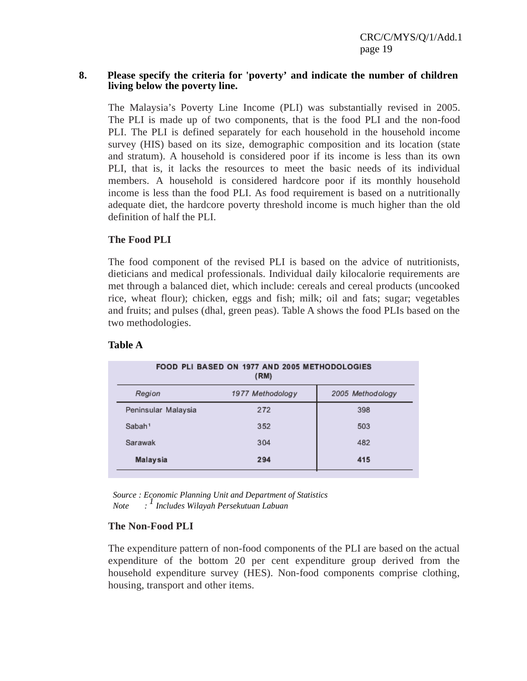#### **8. Please specify the criteria for 'poverty' and indicate the number of children living below the poverty line.**

The Malaysia's Poverty Line Income (PLI) was substantially revised in 2005. The PLI is made up of two components, that is the food PLI and the non-food PLI. The PLI is defined separately for each household in the household income survey (HIS) based on its size, demographic composition and its location (state and stratum). A household is considered poor if its income is less than its own PLI, that is, it lacks the resources to meet the basic needs of its individual members. A household is considered hardcore poor if its monthly household income is less than the food PLI. As food requirement is based on a nutritionally adequate diet, the hardcore poverty threshold income is much higher than the old definition of half the PLI.

## **The Food PLI**

The food component of the revised PLI is based on the advice of nutritionists, dieticians and medical professionals. Individual daily kilocalorie requirements are met through a balanced diet, which include: cereals and cereal products (uncooked rice, wheat flour); chicken, eggs and fish; milk; oil and fats; sugar; vegetables and fruits; and pulses (dhal, green peas). Table A shows the food PLIs based on the two methodologies.

#### **Table A**

|                     | FOOD PLI BASED ON 1977 AND 2005 METHODOLOGIES<br>(RM) |                  |
|---------------------|-------------------------------------------------------|------------------|
| Region              | 1977 Methodology                                      | 2005 Methodology |
| Peninsular Malaysia | 272                                                   | 398              |
| Sabah <sup>1</sup>  | 352                                                   | 503              |
| Sarawak             | 304                                                   | 482              |
| Malaysia            | 294                                                   | 415              |

*Source : Economic Planning Unit and Department of Statistics Note : 1 Includes Wilayah Persekutuan Labuan*

## **The Non-Food PLI**

The expenditure pattern of non-food components of the PLI are based on the actual expenditure of the bottom 20 per cent expenditure group derived from the household expenditure survey (HES). Non-food components comprise clothing, housing, transport and other items.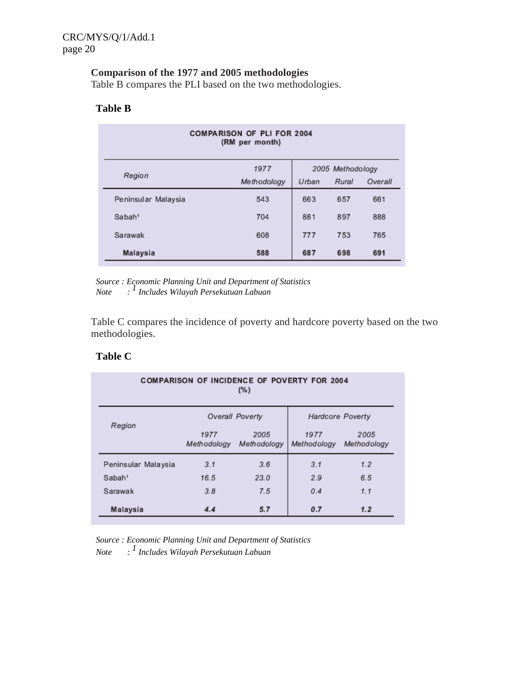# **Comparison of the 1977 and 2005 methodologies**

Table B compares the PLI based on the two methodologies.

#### **Table B**

|                     | <b>COMPARISON OF PLI FOR 2004</b><br>(RM per month) |       |                  |         |
|---------------------|-----------------------------------------------------|-------|------------------|---------|
|                     | 1977                                                |       | 2005 Methodology |         |
| Region              | Methodology                                         | Urban | Rural            | Overall |
| Peninsular Malaysia | 543                                                 | 663   | 657              | 661     |
| Sabah <sup>1</sup>  | 704                                                 | 881   | 897              | 888     |
| Sarawak             | 608                                                 | 777   | 753              | 765     |
| Malaysia            | 588                                                 | 687   | 698              | 691     |

*Source : Economic Planning Unit and Department of Statistics Note : 1 Includes Wilayah Persekutuan Labuan*

Table C compares the incidence of poverty and hardcore poverty based on the two methodologies.

# **Table C**

| <b>COMPARISON OF INCIDENCE OF POVERTY FOR 2004</b><br>(%) |                     |                     |                         |                     |  |  |  |  |  |  |
|-----------------------------------------------------------|---------------------|---------------------|-------------------------|---------------------|--|--|--|--|--|--|
| Region                                                    |                     | Overall Poverty     | <b>Hardcore Poverty</b> |                     |  |  |  |  |  |  |
|                                                           | 1977<br>Methodology | 2005<br>Methodology | 1977<br>Methodology     | 2005<br>Methodology |  |  |  |  |  |  |
| Peninsular Malaysia                                       | 3.1                 | 3.6                 | 3.1                     | 1.2                 |  |  |  |  |  |  |
| Sabah <sup>1</sup>                                        | 16.5                | 23.0                | 2.9                     | 6.5                 |  |  |  |  |  |  |
| Sarawak                                                   | 3.8                 | 7.5                 | 0.4                     | 1.1                 |  |  |  |  |  |  |
| Malaysia                                                  | 4.4                 | 5.7                 | 0.7                     | 1.2                 |  |  |  |  |  |  |

*Source : Economic Planning Unit and Department of Statistics Note : 1 Includes Wilayah Persekutuan Labuan*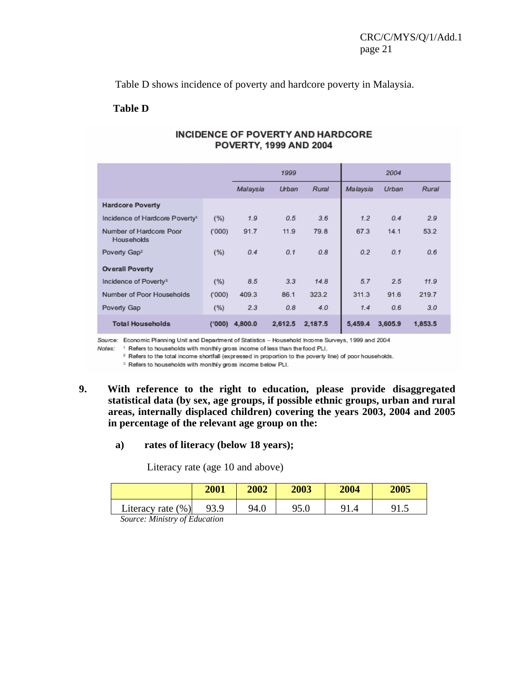Table D shows incidence of poverty and hardcore poverty in Malaysia.

#### **Table D**

|                                            |        |          | 1999    |         |          | 2004    |         |
|--------------------------------------------|--------|----------|---------|---------|----------|---------|---------|
|                                            |        | Malaysia | Urban   | Rural   | Malaysia | Urban   | Rural   |
| <b>Hardcore Poverty</b>                    |        |          |         |         |          |         |         |
| Incidence of Hardcore Poverty <sup>1</sup> | (%)    | 1.9      | 0.5     | 3.6     | 1.2      | 0.4     | 2.9     |
| Number of Hardcore Poor<br>Households      | (000)  | 91.7     | 11.9    | 79.8    | 67.3     | 14.1    | 53.2    |
| Poverty Gap <sup>2</sup>                   | (%)    | 0.4      | 0.1     | 0.8     | 0.2      | 0.1     | 0.6     |
| <b>Overall Poverty</b>                     |        |          |         |         |          |         |         |
| Incidence of Poverty <sup>3</sup>          | (%)    | 8.5      | 3.3     | 14.8    | 5.7      | 2.5     | 11.9    |
| Number of Poor Households                  | (000)  | 409.3    | 86.1    | 323.2   | 311.3    | 91.6    | 219.7   |
| Poverty Gap                                | (%)    | 2.3      | 0.8     | 4.0     | 1.4      | 0.6     | 3.0     |
| <b>Total Households</b>                    | (1000) | 4,800.0  | 2,612.5 | 2,187.5 | 5,459.4  | 3,605.9 | 1,853.5 |

#### **INCIDENCE OF POVERTY AND HARDCORE** POVERTY, 1999 AND 2004

Source: Economic Planning Unit and Department of Statistics - Household Income Surveys, 1999 and 2004

Notes: 1 Refers to households with monthly gross income of less than the food PLI.

<sup>2</sup> Refers to the total income shortfall (expressed in proportion to the poverty line) of poor households.

<sup>3</sup> Refers to households with monthly gross income below PLI.

## **9. With reference to the right to education, please provide disaggregated statistical data (by sex, age groups, if possible ethnic groups, urban and rural areas, internally displaced children) covering the years 2003, 2004 and 2005 in percentage of the relevant age group on the:**

#### **a) rates of literacy (below 18 years);**

Literacy rate (age 10 and above)

|                                      | 2001 | 2002 | 2003 | 2004 | 2005 |  |  |  |  |  |
|--------------------------------------|------|------|------|------|------|--|--|--|--|--|
| Literacy rate $(\%)$                 | 93.9 | 94.0 |      |      |      |  |  |  |  |  |
| Counsel <i>Ministra of Education</i> |      |      |      |      |      |  |  |  |  |  |

*Source: Ministry of Education*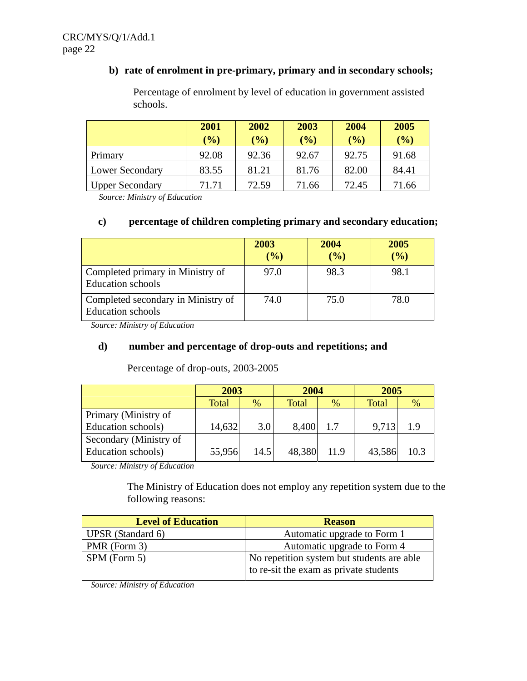# **b) rate of enrolment in pre-primary, primary and in secondary schools;**

|                        | 2001<br>$(\%)$ | 2002<br>$\mathcal{O}_0$ | 2003<br>$(\%)$ | 2004<br>(%) | 2005<br>$(\%)$ |
|------------------------|----------------|-------------------------|----------------|-------------|----------------|
| Primary                | 92.08          | 92.36                   | 92.67          | 92.75       | 91.68          |
| <b>Lower Secondary</b> | 83.55          | 81.21                   | 81.76          | 82.00       | 84.41          |
| <b>Upper Secondary</b> | 71.71          | 72.59                   | 71.66          | 72.45       | 71.66          |

Percentage of enrolment by level of education in government assisted schools.

*Source: Ministry of Education*

# **c) percentage of children completing primary and secondary education;**

|                                                                | 2003<br>(%) | 2004<br>$($ %) | 2005<br>$($ %) |
|----------------------------------------------------------------|-------------|----------------|----------------|
| Completed primary in Ministry of<br><b>Education</b> schools   | 97.0        | 98.3           | 98.1           |
| Completed secondary in Ministry of<br><b>Education</b> schools | 74.0        | 75.0           | 78.0           |

*Source: Ministry of Education*

## **d) number and percentage of drop-outs and repetitions; and**

|                        | 2003   |      | 2004         |      | 2005         |      |  |
|------------------------|--------|------|--------------|------|--------------|------|--|
|                        | Total  | %    | <b>Total</b> | %    | <b>Total</b> | %    |  |
| Primary (Ministry of   |        |      |              |      |              |      |  |
| Education schools)     | 14,632 | 3.0  | 8,400        | 1.7  | 9,713        | 1.9  |  |
| Secondary (Ministry of |        |      |              |      |              |      |  |
| Education schools)     | 55,956 | 14.5 | 48,380       | 11.9 | 43,586       | 10.3 |  |

Percentage of drop-outs, 2003-2005

*Source: Ministry of Education*

The Ministry of Education does not employ any repetition system due to the following reasons:

| <b>Level of Education</b> | <b>Reason</b>                                                                        |
|---------------------------|--------------------------------------------------------------------------------------|
| UPSR (Standard 6)         | Automatic upgrade to Form 1                                                          |
| PMR (Form 3)              | Automatic upgrade to Form 4                                                          |
| $SPM$ (Form 5)            | No repetition system but students are able<br>to re-sit the exam as private students |

*Source: Ministry of Education*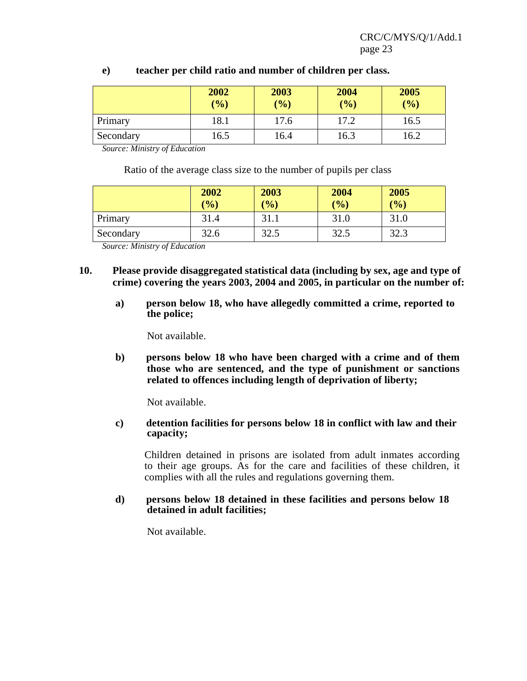|           | 2002<br>$(\frac{6}{6})$ | 2003<br>$(\%)$ | 2004<br>$(\%)$ | 2005<br>(%) |
|-----------|-------------------------|----------------|----------------|-------------|
| Primary   | 18.1                    | 17.6           | 17.2           | 16.5        |
| Secondary | 16.5                    | 16.4           | 16.3           | 16.2        |

## **e) teacher per child ratio and number of children per class.**

*Source: Ministry of Education*

Ratio of the average class size to the number of pupils per class

|           | 2002<br>$\mathcal{O}_0$ | 2003<br>$\frac{1}{2}$ | 2004<br>$\frac{1}{2}$ | 2005<br>(%) |
|-----------|-------------------------|-----------------------|-----------------------|-------------|
| Primary   | 31.4                    | 31.1                  | 31.0                  | 31.0        |
| Secondary | 32.6                    | 32.5                  | 32.5                  | 32.3        |

*Source: Ministry of Education* 

- **10. Please provide disaggregated statistical data (including by sex, age and type of crime) covering the years 2003, 2004 and 2005, in particular on the number of:**
	- **a) person below 18, who have allegedly committed a crime, reported to the police;**

Not available.

**b) persons below 18 who have been charged with a crime and of them those who are sentenced, and the type of punishment or sanctions related to offences including length of deprivation of liberty;**

Not available.

## **c) detention facilities for persons below 18 in conflict with law and their capacity;**

Children detained in prisons are isolated from adult inmates according to their age groups. As for the care and facilities of these children, it complies with all the rules and regulations governing them.

## **d) persons below 18 detained in these facilities and persons below 18 detained in adult facilities;**

Not available.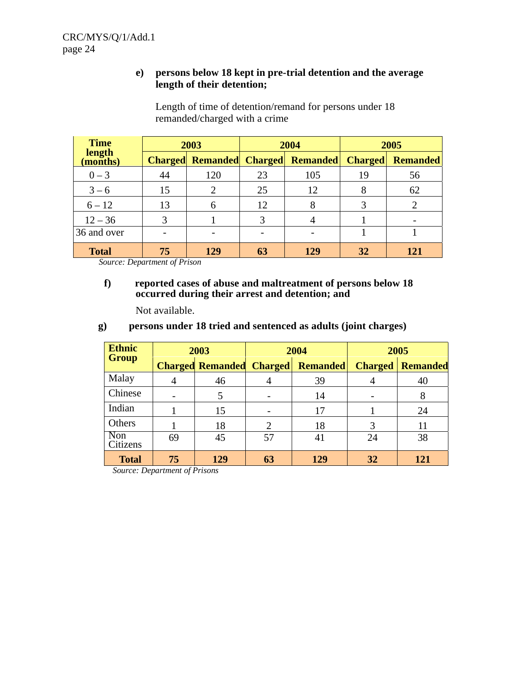## **e) persons below 18 kept in pre-trial detention and the average length of their detention;**

 Length of time of detention/remand for persons under 18 remanded/charged with a crime

| <b>Time</b>        |    | 2003           |    | 2004                                             | 2005 |                 |  |
|--------------------|----|----------------|----|--------------------------------------------------|------|-----------------|--|
| length<br>(months) |    |                |    | <b>Charged Remanded Charged Remanded Charged</b> |      | <b>Remanded</b> |  |
| $0 - 3$            | 44 | 120            | 23 | 105                                              | 19   | 56              |  |
| $3 - 6$            | 15 | $\overline{2}$ | 25 | 12                                               | 8    | 62              |  |
| $6 - 12$           | 13 | 6              | 12 | 8                                                |      |                 |  |
| $12 - 36$          | 3  |                | 3  |                                                  |      |                 |  |
| 36 and over        |    |                |    |                                                  |      |                 |  |
| <b>Total</b>       | 75 | 129            | 63 | 129                                              | 32   | 121             |  |

*Source: Department of Prison*

#### **f) reported cases of abuse and maltreatment of persons below 18 occurred during their arrest and detention; and**

Not available.

# **g) persons under 18 tried and sentenced as adults (joint charges)**

| <b>Ethnic</b>   |                                                                                 |                |                 | 2004           | 2005            |     |  |  |
|-----------------|---------------------------------------------------------------------------------|----------------|-----------------|----------------|-----------------|-----|--|--|
| <b>Group</b>    | 2003<br><b>Charged Remanded</b><br>46<br>$\overline{4}$<br>15<br>18<br>45<br>69 | <b>Charged</b> | <b>Remanded</b> | <b>Charged</b> | <b>Remanded</b> |     |  |  |
| Malay           |                                                                                 |                |                 | 39             |                 | 40  |  |  |
| Chinese         |                                                                                 |                |                 | 14             |                 |     |  |  |
| Indian          |                                                                                 |                |                 | 17             |                 | 24  |  |  |
| Others          |                                                                                 |                | 2               | 18             | 3               |     |  |  |
| Non<br>Citizens |                                                                                 |                | 57              | 41             | 24              | 38  |  |  |
| <b>Total</b>    | 75                                                                              | 129            | 63              | 129            | 32              | 121 |  |  |

*Source: Department of Prisons*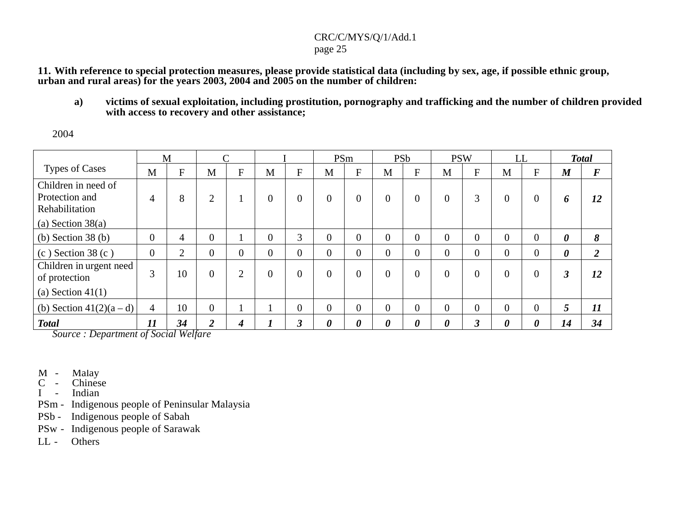# CRC/C/MYS/Q/1/Add.1

page 25

11. With reference to special protection measures, please provide statistical data (including by sex, age, if possible ethnic group, **urban and rural areas) for the years 2003, 2004 and 2005 on the number of children:**

a) victims of sexual exploitation, including prostitution, pornography and trafficking and the number of children provided **with access to recovery and other assistance;**

2004

|                          |                | M           |                   | $\sim$         |                |                |                       | PSm                   | <b>PSb</b>            |             | <b>PSW</b>     |          | LL             |          |                       | <b>Total</b>      |
|--------------------------|----------------|-------------|-------------------|----------------|----------------|----------------|-----------------------|-----------------------|-----------------------|-------------|----------------|----------|----------------|----------|-----------------------|-------------------|
| <b>Types of Cases</b>    | M              | $\mathbf F$ | M                 | F              | M              | $\mathbf{F}$   | M                     | F                     | M                     | $\mathbf F$ | M              | F        | M              | F        | $\boldsymbol{M}$      | $\bm{F}$          |
| Children in need of      |                |             |                   |                |                |                |                       |                       |                       |             |                |          |                |          |                       |                   |
| Protection and           | 4              | 8           | 2                 |                | $\overline{0}$ | $\overline{0}$ | $\theta$              | $\overline{0}$        | $\Omega$              | $\Omega$    | $\overline{0}$ | 3        | $\overline{0}$ | $\theta$ | 6                     | 12                |
| Rehabilitation           |                |             |                   |                |                |                |                       |                       |                       |             |                |          |                |          |                       |                   |
| (a) Section $38(a)$      |                |             |                   |                |                |                |                       |                       |                       |             |                |          |                |          |                       |                   |
| (b) Section $38(b)$      | $\overline{0}$ | 4           | $\theta$          |                | $\Omega$       | 3              | $\theta$              | $\overline{0}$        | $\overline{0}$        | $\theta$    | $\theta$       | $\Omega$ | $\Omega$       | $\theta$ | $\boldsymbol{\theta}$ | 8                 |
| $(c)$ Section 38 $(c)$   | $\overline{0}$ | 2           | $\theta$          | $\theta$       | $\theta$       | $\overline{0}$ | $\overline{0}$        | $\overline{0}$        | $\overline{0}$        | $\Omega$    | $\Omega$       | $\Omega$ | $\Omega$       | 0        | 0                     | $\mathbf{\Omega}$ |
| Children in urgent need  |                |             |                   |                |                |                |                       |                       |                       |             |                |          |                |          |                       |                   |
| of protection            | 3              | 10          | $\overline{0}$    | $\overline{2}$ | $\overline{0}$ | $\overline{0}$ | $\theta$              | $\overline{0}$        | $\Omega$              | $\Omega$    | $\Omega$       | $\Omega$ | $\theta$       | $\theta$ |                       | 12                |
| (a) Section $41(1)$      |                |             |                   |                |                |                |                       |                       |                       |             |                |          |                |          |                       |                   |
| (b) Section $41(2)(a-d)$ | $\overline{4}$ | 10          | $\Omega$          |                |                | $\overline{0}$ | $\overline{0}$        | $\overline{0}$        | $\Omega$              | $\Omega$    | $\theta$       | $\Omega$ | $\Omega$       | $\Omega$ |                       | 11                |
| <b>Total</b>             | 11             | 34          | $\mathbf{\Omega}$ | 4              |                | 3              | $\boldsymbol{\theta}$ | $\boldsymbol{\theta}$ | $\boldsymbol{\theta}$ | 0           | 0              | 3        | 0              | 0        | 14                    | 34                |

- M M alay
- C Chinese
- I Indian
- PSm Indigenous people of Peninsular Malaysia
- PSb Indigenous people of Sabah
- PSw Indigenous people of Sarawak
- LL Others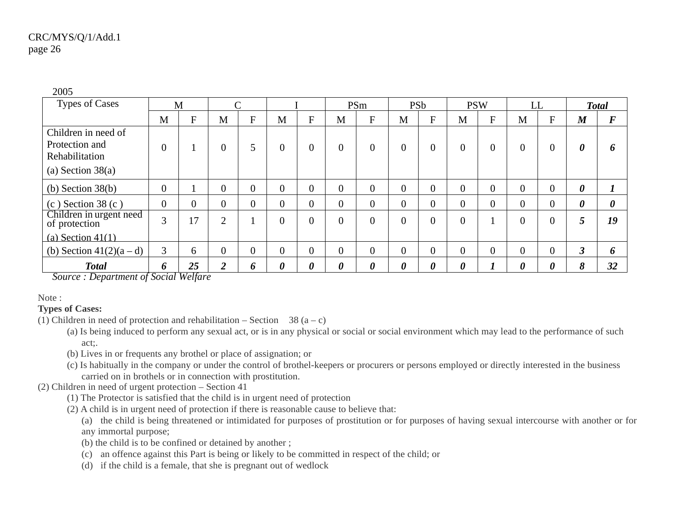| <b>Types of Cases</b>                                   |                | M         |                |                |                |                       |                | PSm                       | <b>PSb</b>            |                | <b>PSW</b>            |           | LL             |          |                       | <b>Total</b>          |
|---------------------------------------------------------|----------------|-----------|----------------|----------------|----------------|-----------------------|----------------|---------------------------|-----------------------|----------------|-----------------------|-----------|----------------|----------|-----------------------|-----------------------|
|                                                         | M              | $F_{\rm}$ | M              | F              | M              | $\mathbf F$           | M              | $\boldsymbol{\mathrm{F}}$ | M                     | $\mathbf F$    | M                     | $F_{\rm}$ | M              | F        | $\boldsymbol{M}$      | $\bm{F}$              |
| Children in need of<br>Protection and<br>Rehabilitation | $\theta$       |           | $\overline{0}$ |                | $\overline{0}$ | $\theta$              | $\overline{0}$ | $\overline{0}$            | $\theta$              | $\theta$       | $\Omega$              | $\Omega$  | 0              | 0        | $\boldsymbol{\theta}$ | 6                     |
| (a) Section $38(a)$                                     |                |           |                |                |                |                       |                |                           |                       |                |                       |           |                |          |                       |                       |
| (b) Section $38(b)$                                     | $\overline{0}$ |           | $\theta$       | $\overline{0}$ | $\overline{0}$ | $\overline{0}$        | $\overline{0}$ | $\overline{0}$            | $\theta$              | $\Omega$       | $\theta$              | $\theta$  | $\Omega$       |          | $\boldsymbol{\theta}$ | 7                     |
| $(c)$ Section 38 $(c)$                                  | $\theta$       | $\Omega$  | $\overline{0}$ | 0              | $\overline{0}$ | $\overline{0}$        | $\overline{0}$ | $\overline{0}$            | $\overline{0}$        | $\Omega$       | $\Omega$              | $\theta$  | 0              | 0        | $\boldsymbol{\theta}$ | $\boldsymbol{\theta}$ |
| Children in urgent need<br>of protection                | 3              | 17        | $\overline{2}$ |                | $\overline{0}$ | $\overline{0}$        | $\overline{0}$ | $\Omega$                  | $\theta$              | $\Omega$       | $\theta$              |           | 0              | $\Omega$ | 5                     | 19                    |
| (a) Section $41(1)$                                     |                |           |                |                |                |                       |                |                           |                       |                |                       |           |                |          |                       |                       |
| (b) Section $41(2)(a-d)$                                | 3              | 6         | $\overline{0}$ | $\overline{0}$ | $\overline{0}$ | $\overline{0}$        | $\overline{0}$ | $\overline{0}$            | $\overline{0}$        | $\overline{0}$ | $\theta$              | $\theta$  | $\overline{0}$ | $\Omega$ | 3                     | 6                     |
| <b>Total</b>                                            | 6              | 25        | C              | 6              | 0              | $\boldsymbol{\theta}$ | 0              | $\boldsymbol{\theta}$     | $\boldsymbol{\theta}$ | 0              | $\boldsymbol{\theta}$ |           | 0              | 0        | 8                     | 32                    |

2005

*Source : Department of Social Welfare*

Note :

# **Types of Cases:**

- (1) Children in need of protection and rehabilitation Section 38  $(a c)$ 
	- (a) Is being induced to perform any sexual act, or is in any physical or social or social environment which may lead to the performance of such act;.
	- (b) Lives in or frequents any brothel or place of assignation; or
	- (c) Is habitually in the company or under the control of brothel-keepers or procurers or persons employed or directly interested in the business carried on in brothels or in connection with prostitution.

(2) Children in need of urgen<sup>t</sup> protection – Section 41

- (1) The Protector is satisfied that the child is in urgen<sup>t</sup> need of protection
- (2) A child is in urgen<sup>t</sup> need of protection if there is reasonable cause to believe that:
	- (a) the child is being threatened or intimidated for purposes of prostitution or for purposes of having sexual intercourse with another or for any immortal purpose;
	- (b) the child is to be confined or detained by another ;
	- (c) an offence against this Part is being or likely to be committed in respec<sup>t</sup> of the child; or
	- (d) if the child is <sup>a</sup> female, that she is pregnan<sup>t</sup> out of wedlock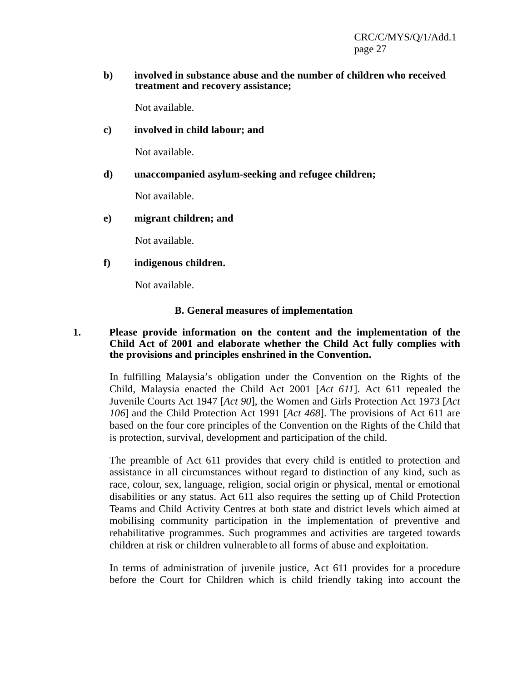#### **b) involved in substance abuse and the number of children who received treatment and recovery assistance;**

Not available.

## **c) involved in child labour; and**

Not available.

## **d) unaccompanied asylum-seeking and refugee children;**

Not available.

## **e) migrant children; and**

Not available.

## **f) indigenous children.**

Not available.

## **B. General measures of implementation**

## **1. Please provide information on the content and the implementation of the Child Act of 2001 and elaborate whether the Child Act fully complies with the provisions and principles enshrined in the Convention.**

In fulfilling Malaysia's obligation under the Convention on the Rights of the Child, Malaysia enacted the Child Act 2001 [*Act 611*]. Act 611 repealed the Juvenile Courts Act 1947 [*Act 90*], the Women and Girls Protection Act 1973 [*Act 106*] and the Child Protection Act 1991 [*Act 468*]. The provisions of Act 611 are based on the four core principles of the Convention on the Rights of the Child that is protection, survival, development and participation of the child.

The preamble of Act 611 provides that every child is entitled to protection and assistance in all circumstances without regard to distinction of any kind, such as race, colour, sex, language, religion, social origin or physical, mental or emotional disabilities or any status. Act 611 also requires the setting up of Child Protection Teams and Child Activity Centres at both state and district levels which aimed at mobilising community participation in the implementation of preventive and rehabilitative programmes. Such programmes and activities are targeted towards children at risk or children vulnerable to all forms of abuse and exploitation.

In terms of administration of juvenile justice, Act 611 provides for a procedure before the Court for Children which is child friendly taking into account the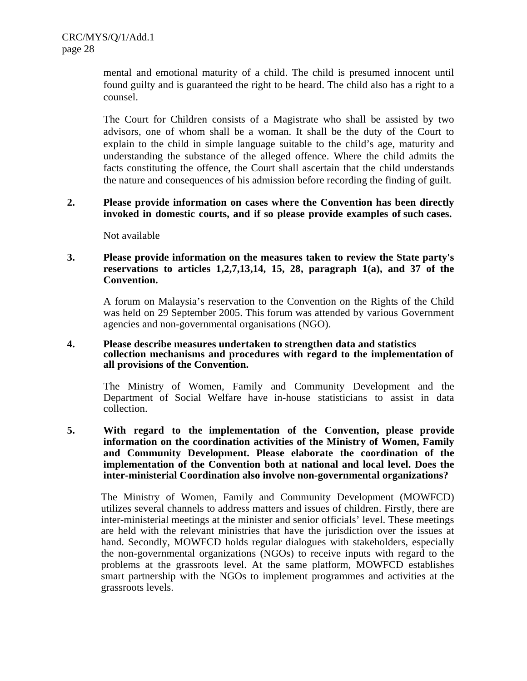mental and emotional maturity of a child. The child is presumed innocent until found guilty and is guaranteed the right to be heard. The child also has a right to a counsel.

The Court for Children consists of a Magistrate who shall be assisted by two advisors, one of whom shall be a woman. It shall be the duty of the Court to explain to the child in simple language suitable to the child's age, maturity and understanding the substance of the alleged offence. Where the child admits the facts constituting the offence, the Court shall ascertain that the child understands the nature and consequences of his admission before recording the finding of guilt.

## **2. Please provide information on cases where the Convention has been directly invoked in domestic courts, and if so please provide examples of such cases.**

Not available

## **3. Please provide information on the measures taken to review the State party's reservations to articles 1,2,7,13,14, 15, 28, paragraph 1(a), and 37 of the Convention.**

A forum on Malaysia's reservation to the Convention on the Rights of the Child was held on 29 September 2005. This forum was attended by various Government agencies and non-governmental organisations (NGO).

#### **4. Please describe measures undertaken to strengthen data and statistics collection mechanisms and procedures with regard to the implementation of all provisions of the Convention.**

The Ministry of Women, Family and Community Development and the Department of Social Welfare have in-house statisticians to assist in data collection.

#### **5. With regard to the implementation of the Convention, please provide information on the coordination activities of the Ministry of Women, Family and Community Development. Please elaborate the coordination of the implementation of the Convention both at national and local level. Does the inter-ministerial Coordination also involve non-governmental organizations?**

The Ministry of Women, Family and Community Development (MOWFCD) utilizes several channels to address matters and issues of children. Firstly, there are inter-ministerial meetings at the minister and senior officials' level. These meetings are held with the relevant ministries that have the jurisdiction over the issues at hand. Secondly, MOWFCD holds regular dialogues with stakeholders, especially the non-governmental organizations (NGOs) to receive inputs with regard to the problems at the grassroots level. At the same platform, MOWFCD establishes smart partnership with the NGOs to implement programmes and activities at the grassroots levels.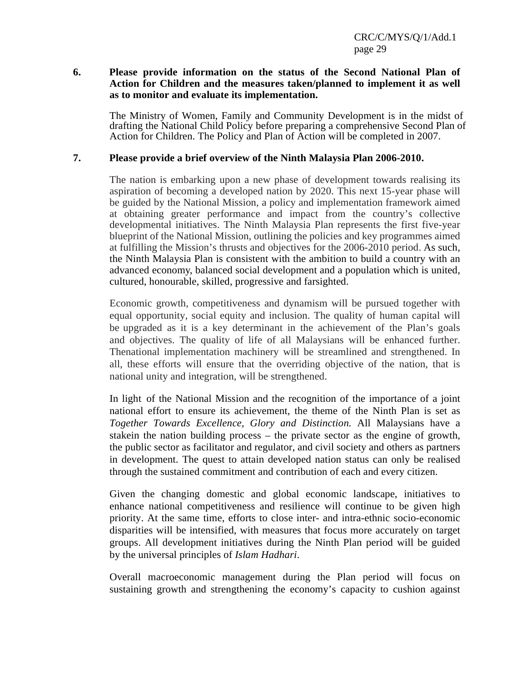#### **6. Please provide information on the status of the Second National Plan of Action for Children and the measures taken/planned to implement it as well as to monitor and evaluate its implementation.**

The Ministry of Women, Family and Community Development is in the midst of drafting the National Child Policy before preparing a comprehensive Second Plan of Action for Children. The Policy and Plan of Action will be completed in 2007.

#### **7. Please provide a brief overview of the Ninth Malaysia Plan 2006-2010.**

The nation is embarking upon a new phase of development towards realising its aspiration of becoming a developed nation by 2020. This next 15-year phase will be guided by the National Mission, a policy and implementation framework aimed at obtaining greater performance and impact from the country's collective developmental initiatives. The Ninth Malaysia Plan represents the first five-year blueprint of the National Mission, outlining the policies and key programmes aimed at fulfilling the Mission's thrusts and objectives for the 2006-2010 period. As such, the Ninth Malaysia Plan is consistent with the ambition to build a country with an advanced economy, balanced social development and a population which is united, cultured, honourable, skilled, progressive and farsighted.

Economic growth, competitiveness and dynamism will be pursued together with equal opportunity, social equity and inclusion. The quality of human capital will be upgraded as it is a key determinant in the achievement of the Plan's goals and objectives. The quality of life of all Malaysians will be enhanced further. Thenational implementation machinery will be streamlined and strengthened. In all, these efforts will ensure that the overriding objective of the nation, that is national unity and integration, will be strengthened.

In light of the National Mission and the recognition of the importance of a joint national effort to ensure its achievement, the theme of the Ninth Plan is set as *Together Towards Excellence, Glory and Distinction.* All Malaysians have a stakein the nation building process – the private sector as the engine of growth, the public sector as facilitator and regulator, and civil society and others as partners in development. The quest to attain developed nation status can only be realised through the sustained commitment and contribution of each and every citizen.

Given the changing domestic and global economic landscape, initiatives to enhance national competitiveness and resilience will continue to be given high priority. At the same time, efforts to close inter- and intra-ethnic socio-economic disparities will be intensified, with measures that focus more accurately on target groups. All development initiatives during the Ninth Plan period will be guided by the universal principles of *Islam Hadhari*.

Overall macroeconomic management during the Plan period will focus on sustaining growth and strengthening the economy's capacity to cushion against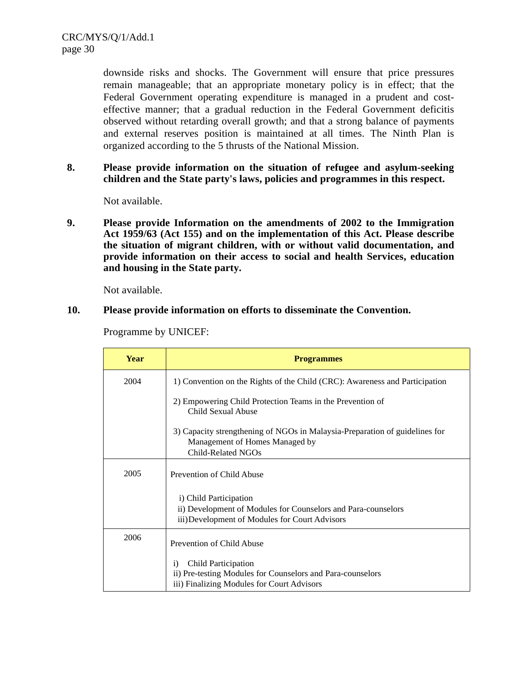downside risks and shocks. The Government will ensure that price pressures remain manageable; that an appropriate monetary policy is in effect; that the Federal Government operating expenditure is managed in a prudent and costeffective manner; that a gradual reduction in the Federal Government deficitis observed without retarding overall growth; and that a strong balance of payments and external reserves position is maintained at all times. The Ninth Plan is organized according to the 5 thrusts of the National Mission.

**8. Please provide information on the situation of refugee and asylum-seeking children and the State party's laws, policies and programmes in this respect.**

Not available.

**9. Please provide Information on the amendments of 2002 to the Immigration Act 1959/63 (Act 155) and on the implementation of this Act. Please describe the situation of migrant children, with or without valid documentation, and provide information on their access to social and health Services, education and housing in the State party.**

Not available.

#### **10. Please provide information on efforts to disseminate the Convention.**

| Year | <b>Programmes</b>                                                                                               |
|------|-----------------------------------------------------------------------------------------------------------------|
| 2004 | 1) Convention on the Rights of the Child (CRC): Awareness and Participation                                     |
|      | 2) Empowering Child Protection Teams in the Prevention of<br>Child Sexual Abuse                                 |
|      | 3) Capacity strengthening of NGOs in Malaysia-Preparation of guidelines for<br>Management of Homes Managed by   |
|      | Child-Related NGOs                                                                                              |
| 2005 | Prevention of Child Abuse                                                                                       |
|      | i) Child Participation                                                                                          |
|      | ii) Development of Modules for Counselors and Para-counselors<br>iii) Development of Modules for Court Advisors |
| 2006 | Prevention of Child Abuse                                                                                       |
|      | Child Participation<br>$\mathbf{i}$                                                                             |
|      | ii) Pre-testing Modules for Counselors and Para-counselors                                                      |
|      | iii) Finalizing Modules for Court Advisors                                                                      |

Programme by UNICEF: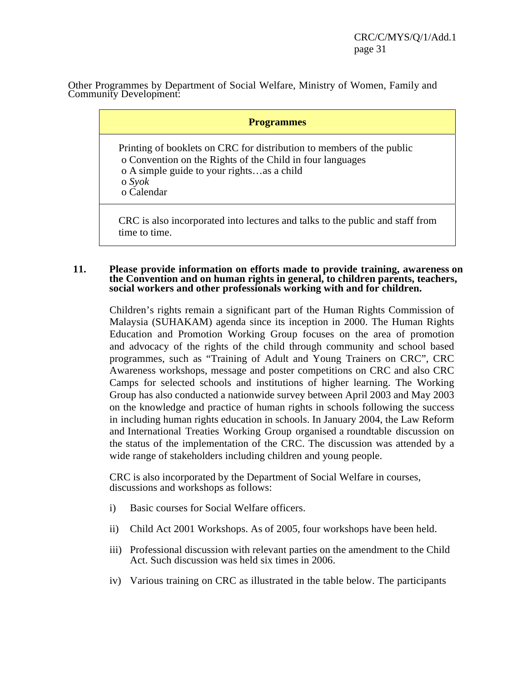Other Programmes by Department of Social Welfare, Ministry of Women, Family and Community Development:

| <b>Programmes</b>                                                                                                                                                                                              |
|----------------------------------------------------------------------------------------------------------------------------------------------------------------------------------------------------------------|
| Printing of booklets on CRC for distribution to members of the public<br>o Convention on the Rights of the Child in four languages<br>o A simple guide to your rightsas a child<br>$\sigma$ Syok<br>o Calendar |
| CRC is also incorporated into lectures and talks to the public and staff from<br>time to time.                                                                                                                 |

#### **11. Please provide information on efforts made to provide training, awareness on the Convention and on human rights in general, to children parents, teachers, social workers and other professionals working with and for children.**

Children's rights remain a significant part of the Human Rights Commission of Malaysia (SUHAKAM) agenda since its inception in 2000. The Human Rights Education and Promotion Working Group focuses on the area of promotion and advocacy of the rights of the child through community and school based programmes, such as "Training of Adult and Young Trainers on CRC", CRC Awareness workshops, message and poster competitions on CRC and also CRC Camps for selected schools and institutions of higher learning. The Working Group has also conducted a nationwide survey between April 2003 and May 2003 on the knowledge and practice of human rights in schools following the success in including human rights education in schools. In January 2004, the Law Reform and International Treaties Working Group organised a roundtable discussion on the status of the implementation of the CRC. The discussion was attended by a wide range of stakeholders including children and young people.

CRC is also incorporated by the Department of Social Welfare in courses, discussions and workshops as follows:

- i) Basic courses for Social Welfare officers.
- ii) Child Act 2001 Workshops. As of 2005, four workshops have been held.
- iii) Professional discussion with relevant parties on the amendment to the Child Act. Such discussion was held six times in 2006.
- iv) Various training on CRC as illustrated in the table below. The participants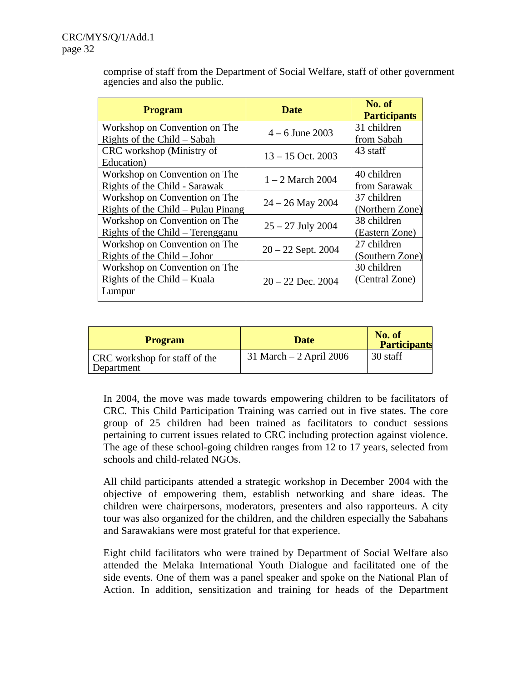comprise of staff from the Department of Social Welfare, staff of other government agencies and also the public.

| <b>Program</b>                     | <b>Date</b>          | No. of<br><b>Participants</b> |  |  |
|------------------------------------|----------------------|-------------------------------|--|--|
| Workshop on Convention on The      | $4 - 6$ June 2003    | 31 children                   |  |  |
| Rights of the Child – Sabah        |                      | from Sabah                    |  |  |
| CRC workshop (Ministry of          | $13 - 15$ Oct. 2003  | 43 staff                      |  |  |
| Education)                         |                      |                               |  |  |
| Workshop on Convention on The      | $1 - 2$ March 2004   | 40 children                   |  |  |
| Rights of the Child - Sarawak      |                      | from Sarawak                  |  |  |
| Workshop on Convention on The      | $24 - 26$ May 2004   | 37 children                   |  |  |
| Rights of the Child – Pulau Pinang |                      | (Northern Zone)               |  |  |
| Workshop on Convention on The      | $25 - 27$ July 2004  | 38 children                   |  |  |
| Rights of the Child – Terengganu   |                      | (Eastern Zone)                |  |  |
| Workshop on Convention on The      | $20 - 22$ Sept. 2004 | 27 children                   |  |  |
| Rights of the Child $-$ Johor      |                      | (Southern Zone)               |  |  |
| Workshop on Convention on The      |                      | 30 children                   |  |  |
| Rights of the Child – Kuala        | $20 - 22$ Dec. 2004  | (Central Zone)                |  |  |
| Lumpur                             |                      |                               |  |  |

| <b>Program</b>                              | <b>Date</b>                | No. of<br><b>Participants</b> |
|---------------------------------------------|----------------------------|-------------------------------|
| CRC workshop for staff of the<br>Department | $31$ March $-2$ April 2006 | 30 staff                      |

In 2004, the move was made towards empowering children to be facilitators of CRC. This Child Participation Training was carried out in five states. The core group of 25 children had been trained as facilitators to conduct sessions pertaining to current issues related to CRC including protection against violence. The age of these school-going children ranges from 12 to 17 years, selected from schools and child-related NGOs.

All child participants attended a strategic workshop in December 2004 with the objective of empowering them, establish networking and share ideas. The children were chairpersons, moderators, presenters and also rapporteurs. A city tour was also organized for the children, and the children especially the Sabahans and Sarawakians were most grateful for that experience.

Eight child facilitators who were trained by Department of Social Welfare also attended the Melaka International Youth Dialogue and facilitated one of the side events. One of them was a panel speaker and spoke on the National Plan of Action. In addition, sensitization and training for heads of the Department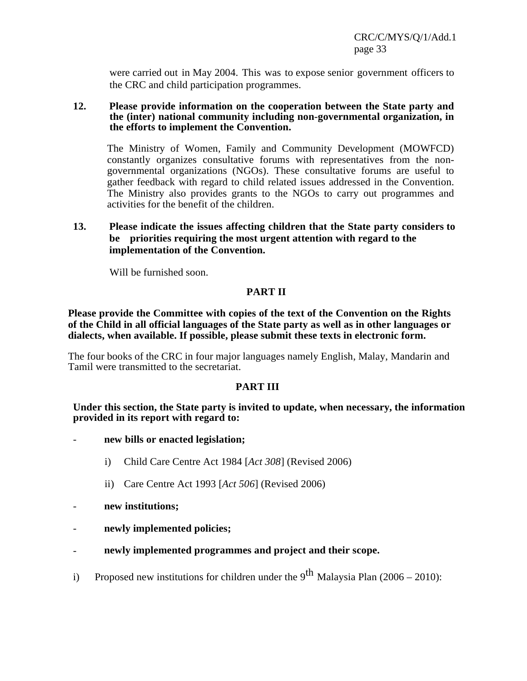were carried out in May 2004. This was to expose senior government officers to the CRC and child participation programmes.

#### **12. Please provide information on the cooperation between the State party and the (inter) national community including non-governmental organization, in the efforts to implement the Convention.**

The Ministry of Women, Family and Community Development (MOWFCD) constantly organizes consultative forums with representatives from the nongovernmental organizations (NGOs). These consultative forums are useful to gather feedback with regard to child related issues addressed in the Convention. The Ministry also provides grants to the NGOs to carry out programmes and activities for the benefit of the children.

## **13. Please indicate the issues affecting children that the State party considers to be priorities requiring the most urgent attention with regard to the implementation of the Convention.**

Will be furnished soon.

## **PART II**

**Please provide the Committee with copies of the text of the Convention on the Rights of the Child in all official languages of the State party as well as in other languages or dialects, when available. If possible, please submit these texts in electronic form.**

The four books of the CRC in four major languages namely English, Malay, Mandarin and Tamil were transmitted to the secretariat.

#### **PART III**

#### **Under this section, the State party is invited to update, when necessary, the information provided in its report with regard to:**

- **new bills or enacted legislation;**
	- i) Child Care Centre Act 1984 [*Act 308*] (Revised 2006)
	- ii) Care Centre Act 1993 [*Act 506*] (Revised 2006)
- **new institutions;**
- **newly implemented policies;**
- **newly implemented programmes and project and their scope.**
- i) Proposed new institutions for children under the  $9^{th}$  Malaysia Plan (2006 2010):